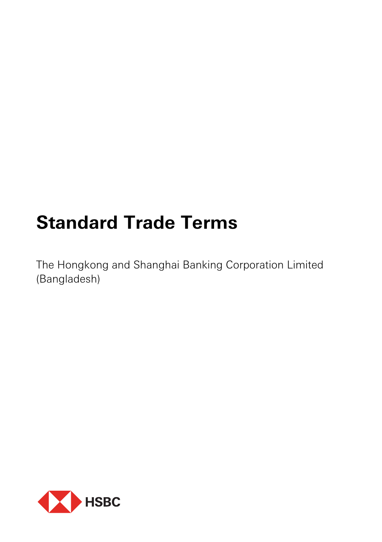# **Standard Trade Terms**

The Hongkong and Shanghai Banking Corporation Limited (Bangladesh)

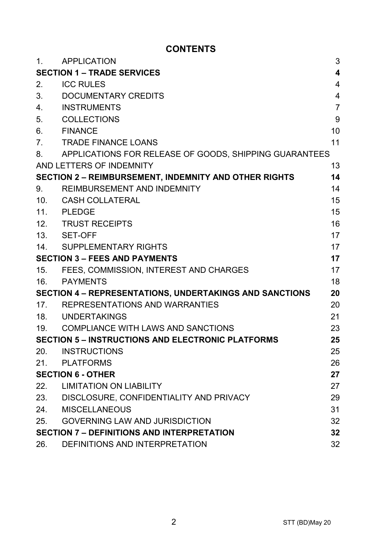# **CONTENTS**

| 1.                                                             | <b>APPLICATION</b>                                           | 3              |
|----------------------------------------------------------------|--------------------------------------------------------------|----------------|
| 4<br><b>SECTION 1 - TRADE SERVICES</b>                         |                                                              |                |
| 2.                                                             | <b>ICC RULES</b>                                             | 4              |
| 3.                                                             | DOCUMENTARY CREDITS                                          | $\overline{4}$ |
| 4.                                                             | <b>INSTRUMENTS</b>                                           | $\overline{7}$ |
| 5.                                                             | COLLECTIONS                                                  | 9              |
| 6.                                                             | <b>FINANCE</b>                                               | 10             |
| 7.                                                             | TRADE FINANCE LOANS                                          | 11             |
| 8.                                                             | APPLICATIONS FOR RELEASE OF GOODS, SHIPPING GUARANTEES       |                |
|                                                                | AND LETTERS OF INDEMNITY                                     | 13             |
|                                                                | <b>SECTION 2 - REIMBURSEMENT, INDEMNITY AND OTHER RIGHTS</b> | 14             |
| 9.                                                             | REIMBURSEMENT AND INDEMNITY                                  | 14             |
| 10 <sub>1</sub>                                                | CASH COLLATERAL                                              | 15             |
|                                                                | 11. PLEDGE                                                   | 15             |
|                                                                | 12. TRUST RECEIPTS                                           | 16             |
|                                                                | 13. SET-OFF                                                  | 17             |
|                                                                | 14. SUPPLEMENTARY RIGHTS                                     | 17             |
| <b>SECTION 3 - FEES AND PAYMENTS</b>                           |                                                              | 17             |
|                                                                | 15. FEES, COMMISSION, INTEREST AND CHARGES                   | 17             |
| 16.                                                            | <b>PAYMENTS</b>                                              | 18             |
| <b>SECTION 4 - REPRESENTATIONS, UNDERTAKINGS AND SANCTIONS</b> |                                                              | 20             |
| 17 <sub>1</sub>                                                | REPRESENTATIONS AND WARRANTIES                               | 20             |
|                                                                | 18. UNDERTAKINGS                                             | 21             |
|                                                                | 19. COMPLIANCE WITH LAWS AND SANCTIONS                       | 23             |
| <b>SECTION 5 - INSTRUCTIONS AND ELECTRONIC PLATFORMS</b><br>25 |                                                              |                |
| 20.                                                            | <b>INSTRUCTIONS</b>                                          | 25             |
| 21.                                                            | <b>PLATFORMS</b>                                             | 26             |
| <b>SECTION 6 - OTHER</b>                                       |                                                              | 27             |
| 22.                                                            | <b>LIMITATION ON LIABILITY</b>                               | 27             |
|                                                                | 23. DISCLOSURE, CONFIDENTIALITY AND PRIVACY                  | 29             |
| 24.                                                            | <b>MISCELLANEOUS</b>                                         | 31             |
| 25.                                                            | <b>GOVERNING LAW AND JURISDICTION</b>                        | 32             |
|                                                                | <b>SECTION 7 - DEFINITIONS AND INTERPRETATION</b>            |                |
| 26.                                                            | DEFINITIONS AND INTERPRETATION                               | 32             |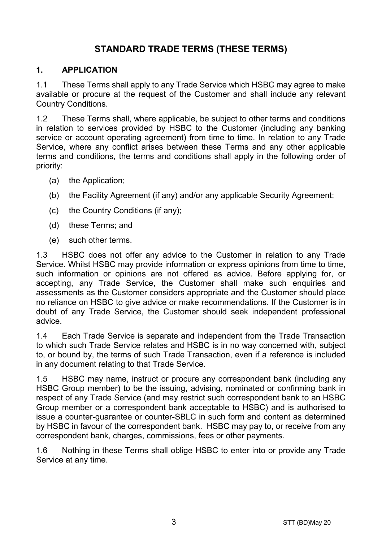# **STANDARD TRADE TERMS (THESE TERMS)**

#### **1. APPLICATION**

1.1 These Terms shall apply to any Trade Service which HSBC may agree to make available or procure at the request of the Customer and shall include any relevant Country Conditions.

1.2 These Terms shall, where applicable, be subject to other terms and conditions in relation to services provided by HSBC to the Customer (including any banking service or account operating agreement) from time to time. In relation to any Trade Service, where any conflict arises between these Terms and any other applicable terms and conditions, the terms and conditions shall apply in the following order of priority:

- (a) the Application;
- (b) the Facility Agreement (if any) and/or any applicable Security Agreement;
- (c) the Country Conditions (if any);
- (d) these Terms; and
- (e) such other terms.

1.3 HSBC does not offer any advice to the Customer in relation to any Trade Service. Whilst HSBC may provide information or express opinions from time to time, such information or opinions are not offered as advice. Before applying for, or accepting, any Trade Service, the Customer shall make such enquiries and assessments as the Customer considers appropriate and the Customer should place no reliance on HSBC to give advice or make recommendations. If the Customer is in doubt of any Trade Service, the Customer should seek independent professional advice.

1.4 Each Trade Service is separate and independent from the Trade Transaction to which such Trade Service relates and HSBC is in no way concerned with, subject to, or bound by, the terms of such Trade Transaction, even if a reference is included in any document relating to that Trade Service.

1.5 HSBC may name, instruct or procure any correspondent bank (including any HSBC Group member) to be the issuing, advising, nominated or confirming bank in respect of any Trade Service (and may restrict such correspondent bank to an HSBC Group member or a correspondent bank acceptable to HSBC) and is authorised to issue a counter-guarantee or counter-SBLC in such form and content as determined by HSBC in favour of the correspondent bank. HSBC may pay to, or receive from any correspondent bank, charges, commissions, fees or other payments.

1.6 Nothing in these Terms shall oblige HSBC to enter into or provide any Trade Service at any time.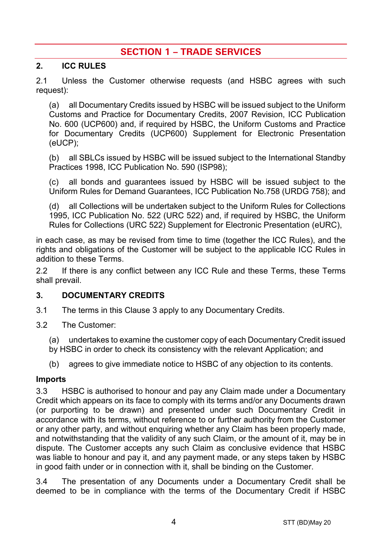# **SECTION 1 – TRADE SERVICES**

#### **2. ICC RULES**

2.1 Unless the Customer otherwise requests (and HSBC agrees with such request):

(a) all Documentary Credits issued by HSBC will be issued subject to the Uniform Customs and Practice for Documentary Credits, 2007 Revision, ICC Publication No. 600 (UCP600) and, if required by HSBC, the Uniform Customs and Practice for Documentary Credits (UCP600) Supplement for Electronic Presentation (eUCP);

(b) all SBLCs issued by HSBC will be issued subject to the International Standby Practices 1998, ICC Publication No. 590 (ISP98);

(c) all bonds and guarantees issued by HSBC will be issued subject to the Uniform Rules for Demand Guarantees, ICC Publication No.758 (URDG 758); and

(d) all Collections will be undertaken subject to the Uniform Rules for Collections 1995, ICC Publication No. 522 (URC 522) and, if required by HSBC, the Uniform Rules for Collections (URC 522) Supplement for Electronic Presentation (eURC),

in each case, as may be revised from time to time (together the ICC Rules), and the rights and obligations of the Customer will be subject to the applicable ICC Rules in addition to these Terms.

2.2 If there is any conflict between any ICC Rule and these Terms, these Terms shall prevail.

#### <span id="page-3-0"></span>**3. DOCUMENTARY CREDITS**

- 3.1 The terms in this Claus[e 3](#page-3-0) apply to any Documentary Credits.
- 3.2 The Customer:
	- (a) undertakes to examine the customer copy of each Documentary Credit issued
	- by HSBC in order to check its consistency with the relevant Application; and
	- (b) agrees to give immediate notice to HSBC of any objection to its contents.

#### **Imports**

3.3 HSBC is authorised to honour and pay any Claim made under a Documentary Credit which appears on its face to comply with its terms and/or any Documents drawn (or purporting to be drawn) and presented under such Documentary Credit in accordance with its terms, without reference to or further authority from the Customer or any other party, and without enquiring whether any Claim has been properly made, and notwithstanding that the validity of any such Claim, or the amount of it, may be in dispute. The Customer accepts any such Claim as conclusive evidence that HSBC was liable to honour and pay it, and any payment made, or any steps taken by HSBC in good faith under or in connection with it, shall be binding on the Customer.

3.4 The presentation of any Documents under a Documentary Credit shall be deemed to be in compliance with the terms of the Documentary Credit if HSBC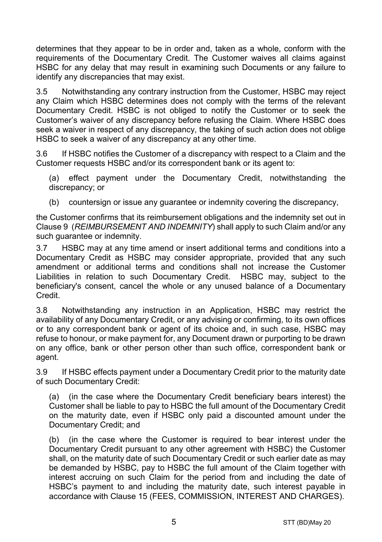determines that they appear to be in order and, taken as a whole, conform with the requirements of the Documentary Credit. The Customer waives all claims against HSBC for any delay that may result in examining such Documents or any failure to identify any discrepancies that may exist.

3.5 Notwithstanding any contrary instruction from the Customer, HSBC may reject any Claim which HSBC determines does not comply with the terms of the relevant Documentary Credit. HSBC is not obliged to notify the Customer or to seek the Customer's waiver of any discrepancy before refusing the Claim. Where HSBC does seek a waiver in respect of any discrepancy, the taking of such action does not oblige HSBC to seek a waiver of any discrepancy at any other time.

3.6 If HSBC notifies the Customer of a discrepancy with respect to a Claim and the Customer requests HSBC and/or its correspondent bank or its agent to:

(a) effect payment under the Documentary Credit, notwithstanding the discrepancy; or

(b) countersign or issue any guarantee or indemnity covering the discrepancy,

the Customer confirms that its reimbursement obligations and the indemnity set out in Claus[e 9](#page-13-0) (*[REIMBURSEMENT AND INDEMNITY](#page-13-0)*) shall apply to such Claim and/or any such guarantee or indemnity.

3.7 HSBC may at any time amend or insert additional terms and conditions into a Documentary Credit as HSBC may consider appropriate, provided that any such amendment or additional terms and conditions shall not increase the Customer Liabilities in relation to such Documentary Credit. HSBC may, subject to the beneficiary's consent, cancel the whole or any unused balance of a Documentary Credit.

3.8 Notwithstanding any instruction in an Application, HSBC may restrict the availability of any Documentary Credit, or any advising or confirming, to its own offices or to any correspondent bank or agent of its choice and, in such case, HSBC may refuse to honour, or make payment for, any Document drawn or purporting to be drawn on any office, bank or other person other than such office, correspondent bank or agent.

3.9 If HSBC effects payment under a Documentary Credit prior to the maturity date of such Documentary Credit:

(a) (in the case where the Documentary Credit beneficiary bears interest) the Customer shall be liable to pay to HSBC the full amount of the Documentary Credit on the maturity date, even if HSBC only paid a discounted amount under the Documentary Credit; and

(b) (in the case where the Customer is required to bear interest under the Documentary Credit pursuant to any other agreement with HSBC) the Customer shall, on the maturity date of such Documentary Credit or such earlier date as may be demanded by HSBC, pay to HSBC the full amount of the Claim together with interest accruing on such Claim for the period from and including the date of HSBC's payment to and including the maturity date, such interest payable in accordance with Clause [15](#page-16-0) [\(FEES, COMMISSION, INTEREST AND CHARGES\)](#page-16-0).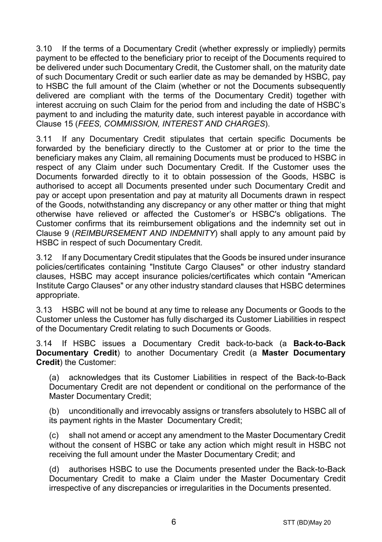3.10 If the terms of a Documentary Credit (whether expressly or impliedly) permits payment to be effected to the beneficiary prior to receipt of the Documents required to be delivered under such Documentary Credit, the Customer shall, on the maturity date of such Documentary Credit or such earlier date as may be demanded by HSBC, pay to HSBC the full amount of the Claim (whether or not the Documents subsequently delivered are compliant with the terms of the Documentary Credit) together with interest accruing on such Claim for the period from and including the date of HSBC's payment to and including the maturity date, such interest payable in accordance with Clause [15](#page-16-0) (*[FEES, COMMISSION, INTEREST AND CHARGES](#page-16-0)*).

3.11 If any Documentary Credit stipulates that certain specific Documents be forwarded by the beneficiary directly to the Customer at or prior to the time the beneficiary makes any Claim, all remaining Documents must be produced to HSBC in respect of any Claim under such Documentary Credit. If the Customer uses the Documents forwarded directly to it to obtain possession of the Goods, HSBC is authorised to accept all Documents presented under such Documentary Credit and pay or accept upon presentation and pay at maturity all Documents drawn in respect of the Goods, notwithstanding any discrepancy or any other matter or thing that might otherwise have relieved or affected the Customer's or HSBC's obligations. The Customer confirms that its reimbursement obligations and the indemnity set out in Clause [9](#page-13-0) (*[REIMBURSEMENT AND INDEMNITY](#page-13-0)*) shall apply to any amount paid by HSBC in respect of such Documentary Credit.

3.12 If any Documentary Credit stipulates that the Goods be insured under insurance policies/certificates containing "Institute Cargo Clauses" or other industry standard clauses, HSBC may accept insurance policies/certificates which contain "American Institute Cargo Clauses" or any other industry standard clauses that HSBC determines appropriate.

3.13 HSBC will not be bound at any time to release any Documents or Goods to the Customer unless the Customer has fully discharged its Customer Liabilities in respect of the Documentary Credit relating to such Documents or Goods.

<span id="page-5-0"></span>3.14 If HSBC issues a Documentary Credit back-to-back (a **Back-to-Back Documentary Credit**) to another Documentary Credit (a **Master Documentary Credit**) the Customer:

(a) acknowledges that its Customer Liabilities in respect of the Back-to-Back Documentary Credit are not dependent or conditional on the performance of the Master Documentary Credit;

(b) unconditionally and irrevocably assigns or transfers absolutely to HSBC all of its payment rights in the Master Documentary Credit;

(c) shall not amend or accept any amendment to the Master Documentary Credit without the consent of HSBC or take any action which might result in HSBC not receiving the full amount under the Master Documentary Credit; and

(d) authorises HSBC to use the Documents presented under the Back-to-Back Documentary Credit to make a Claim under the Master Documentary Credit irrespective of any discrepancies or irregularities in the Documents presented.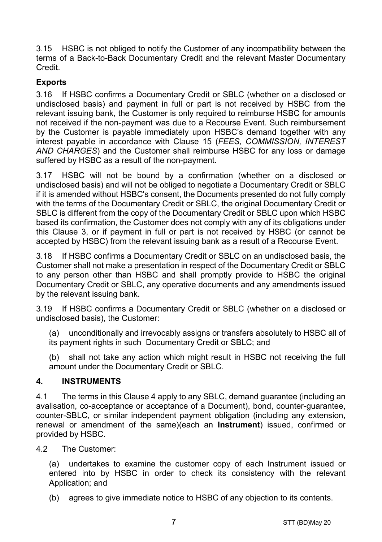3.15 HSBC is not obliged to notify the Customer of any incompatibility between the terms of a Back-to-Back Documentary Credit and the relevant Master Documentary Credit.

# **Exports**

3.16 If HSBC confirms a Documentary Credit or SBLC (whether on a disclosed or undisclosed basis) and payment in full or part is not received by HSBC from the relevant issuing bank, the Customer is only required to reimburse HSBC for amounts not received if the non-payment was due to a Recourse Event. Such reimbursement by the Customer is payable immediately upon HSBC's demand together with any interest payable in accordance with Clause [15](#page-16-0) (*[FEES, COMMISSION, INTEREST](#page-16-0)  [AND CHARGES](#page-16-0)*) and the Customer shall reimburse HSBC for any loss or damage suffered by HSBC as a result of the non-payment.

3.17 HSBC will not be bound by a confirmation (whether on a disclosed or undisclosed basis) and will not be obliged to negotiate a Documentary Credit or SBLC if it is amended without HSBC's consent, the Documents presented do not fully comply with the terms of the Documentary Credit or SBLC, the original Documentary Credit or SBLC is different from the copy of the Documentary Credit or SBLC upon which HSBC based its confirmation, the Customer does not comply with any of its obligations under this Clause [3,](#page-3-0) or if payment in full or part is not received by HSBC (or cannot be accepted by HSBC) from the relevant issuing bank as a result of a Recourse Event.

3.18 If HSBC confirms a Documentary Credit or SBLC on an undisclosed basis, the Customer shall not make a presentation in respect of the Documentary Credit or SBLC to any person other than HSBC and shall promptly provide to HSBC the original Documentary Credit or SBLC, any operative documents and any amendments issued by the relevant issuing bank.

3.19 If HSBC confirms a Documentary Credit or SBLC (whether on a disclosed or undisclosed basis), the Customer:

(a) unconditionally and irrevocably assigns or transfers absolutely to HSBC all of its payment rights in such Documentary Credit or SBLC; and

(b) shall not take any action which might result in HSBC not receiving the full amount under the Documentary Credit or SBLC.

## <span id="page-6-0"></span>**4. INSTRUMENTS**

4.1 The terms in this Clause [4](#page-6-0) apply to any SBLC, demand guarantee (including an avalisation, co-acceptance or acceptance of a Document), bond, counter-guarantee, counter-SBLC, or similar independent payment obligation (including any extension, renewal or amendment of the same)(each an **Instrument**) issued, confirmed or provided by HSBC.

4.2 The Customer:

(a) undertakes to examine the customer copy of each Instrument issued or entered into by HSBC in order to check its consistency with the relevant Application: and

(b) agrees to give immediate notice to HSBC of any objection to its contents.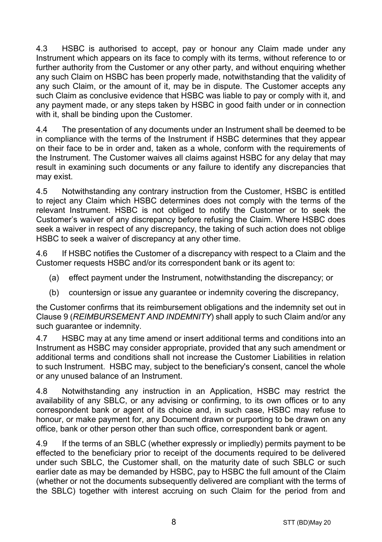4.3 HSBC is authorised to accept, pay or honour any Claim made under any Instrument which appears on its face to comply with its terms, without reference to or further authority from the Customer or any other party, and without enquiring whether any such Claim on HSBC has been properly made, notwithstanding that the validity of any such Claim, or the amount of it, may be in dispute. The Customer accepts any such Claim as conclusive evidence that HSBC was liable to pay or comply with it, and any payment made, or any steps taken by HSBC in good faith under or in connection with it, shall be binding upon the Customer.

4.4 The presentation of any documents under an Instrument shall be deemed to be in compliance with the terms of the Instrument if HSBC determines that they appear on their face to be in order and, taken as a whole, conform with the requirements of the Instrument. The Customer waives all claims against HSBC for any delay that may result in examining such documents or any failure to identify any discrepancies that may exist.

4.5 Notwithstanding any contrary instruction from the Customer, HSBC is entitled to reject any Claim which HSBC determines does not comply with the terms of the relevant Instrument. HSBC is not obliged to notify the Customer or to seek the Customer's waiver of any discrepancy before refusing the Claim. Where HSBC does seek a waiver in respect of any discrepancy, the taking of such action does not oblige HSBC to seek a waiver of discrepancy at any other time.

4.6 If HSBC notifies the Customer of a discrepancy with respect to a Claim and the Customer requests HSBC and/or its correspondent bank or its agent to:

- (a) effect payment under the Instrument, notwithstanding the discrepancy; or
- (b) countersign or issue any guarantee or indemnity covering the discrepancy,

the Customer confirms that its reimbursement obligations and the indemnity set out in Clause [9](#page-13-0) (*[REIMBURSEMENT AND INDEMNITY](#page-13-0)*) shall apply to such Claim and/or any such guarantee or indemnity.

4.7 HSBC may at any time amend or insert additional terms and conditions into an Instrument as HSBC may consider appropriate, provided that any such amendment or additional terms and conditions shall not increase the Customer Liabilities in relation to such Instrument. HSBC may, subject to the beneficiary's consent, cancel the whole or any unused balance of an Instrument.

4.8 Notwithstanding any instruction in an Application, HSBC may restrict the availability of any SBLC, or any advising or confirming, to its own offices or to any correspondent bank or agent of its choice and, in such case, HSBC may refuse to honour, or make payment for, any Document drawn or purporting to be drawn on any office, bank or other person other than such office, correspondent bank or agent.

4.9 If the terms of an SBLC (whether expressly or impliedly) permits payment to be effected to the beneficiary prior to receipt of the documents required to be delivered under such SBLC, the Customer shall, on the maturity date of such SBLC or such earlier date as may be demanded by HSBC, pay to HSBC the full amount of the Claim (whether or not the documents subsequently delivered are compliant with the terms of the SBLC) together with interest accruing on such Claim for the period from and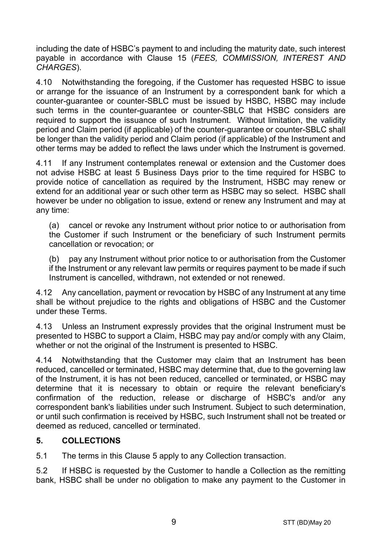including the date of HSBC's payment to and including the maturity date, such interest payable in accordance with Clause [15](#page-16-0) (*[FEES, COMMISSION, INTEREST AND](#page-16-0)  [CHARGES](#page-16-0)*).

4.10 Notwithstanding the foregoing, if the Customer has requested HSBC to issue or arrange for the issuance of an Instrument by a correspondent bank for which a counter-guarantee or counter-SBLC must be issued by HSBC, HSBC may include such terms in the counter-guarantee or counter-SBLC that HSBC considers are required to support the issuance of such Instrument. Without limitation, the validity period and Claim period (if applicable) of the counter-guarantee or counter-SBLC shall be longer than the validity period and Claim period (if applicable) of the Instrument and other terms may be added to reflect the laws under which the Instrument is governed.

4.11 If any Instrument contemplates renewal or extension and the Customer does not advise HSBC at least 5 Business Days prior to the time required for HSBC to provide notice of cancellation as required by the Instrument, HSBC may renew or extend for an additional year or such other term as HSBC may so select. HSBC shall however be under no obligation to issue, extend or renew any Instrument and may at any time:

(a) cancel or revoke any Instrument without prior notice to or authorisation from the Customer if such Instrument or the beneficiary of such Instrument permits cancellation or revocation; or

(b) pay any Instrument without prior notice to or authorisation from the Customer if the Instrument or any relevant law permits or requires payment to be made if such Instrument is cancelled, withdrawn, not extended or not renewed.

4.12 Any cancellation, payment or revocation by HSBC of any Instrument at any time shall be without prejudice to the rights and obligations of HSBC and the Customer under these Terms.

4.13 Unless an Instrument expressly provides that the original Instrument must be presented to HSBC to support a Claim, HSBC may pay and/or comply with any Claim, whether or not the original of the Instrument is presented to HSBC.

4.14 Notwithstanding that the Customer may claim that an Instrument has been reduced, cancelled or terminated, HSBC may determine that, due to the governing law of the Instrument, it is has not been reduced, cancelled or terminated, or HSBC may determine that it is necessary to obtain or require the relevant beneficiary's confirmation of the reduction, release or discharge of HSBC's and/or any correspondent bank's liabilities under such Instrument. Subject to such determination, or until such confirmation is received by HSBC, such Instrument shall not be treated or deemed as reduced, cancelled or terminated.

## <span id="page-8-0"></span>**5. COLLECTIONS**

5.1 The terms in this Claus[e 5](#page-8-0) apply to any Collection transaction.

5.2 If HSBC is requested by the Customer to handle a Collection as the remitting bank, HSBC shall be under no obligation to make any payment to the Customer in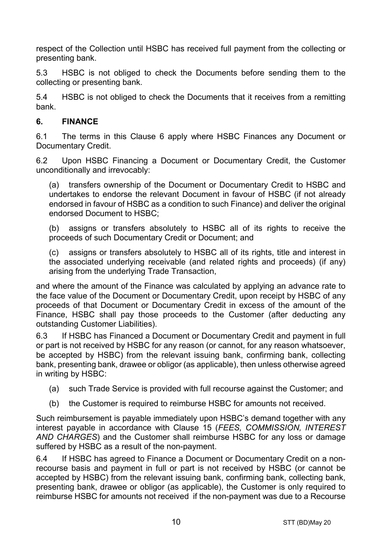respect of the Collection until HSBC has received full payment from the collecting or presenting bank.

5.3 HSBC is not obliged to check the Documents before sending them to the collecting or presenting bank.

5.4 HSBC is not obliged to check the Documents that it receives from a remitting bank.

## <span id="page-9-0"></span>**6. FINANCE**

6.1 The terms in this Clause [6](#page-9-0) apply where HSBC Finances any Document or Documentary Credit.

6.2 Upon HSBC Financing a Document or Documentary Credit, the Customer unconditionally and irrevocably:

(a) transfers ownership of the Document or Documentary Credit to HSBC and undertakes to endorse the relevant Document in favour of HSBC (if not already endorsed in favour of HSBC as a condition to such Finance) and deliver the original endorsed Document to HSBC;

(b) assigns or transfers absolutely to HSBC all of its rights to receive the proceeds of such Documentary Credit or Document; and

(c) assigns or transfers absolutely to HSBC all of its rights, title and interest in the associated underlying receivable (and related rights and proceeds) (if any) arising from the underlying Trade Transaction,

and where the amount of the Finance was calculated by applying an advance rate to the face value of the Document or Documentary Credit, upon receipt by HSBC of any proceeds of that Document or Documentary Credit in excess of the amount of the Finance, HSBC shall pay those proceeds to the Customer (after deducting any outstanding Customer Liabilities).

6.3 If HSBC has Financed a Document or Documentary Credit and payment in full or part is not received by HSBC for any reason (or cannot, for any reason whatsoever, be accepted by HSBC) from the relevant issuing bank, confirming bank, collecting bank, presenting bank, drawee or obligor (as applicable), then unless otherwise agreed in writing by HSBC:

- (a) such Trade Service is provided with full recourse against the Customer; and
- (b) the Customer is required to reimburse HSBC for amounts not received.

Such reimbursement is payable immediately upon HSBC's demand together with any interest payable in accordance with Clause [15](#page-16-0) (*[FEES, COMMISSION, INTEREST](#page-16-0)  [AND CHARGES](#page-16-0)*) and the Customer shall reimburse HSBC for any loss or damage suffered by HSBC as a result of the non-payment.

6.4 If HSBC has agreed to Finance a Document or Documentary Credit on a nonrecourse basis and payment in full or part is not received by HSBC (or cannot be accepted by HSBC) from the relevant issuing bank, confirming bank, collecting bank, presenting bank, drawee or obligor (as applicable), the Customer is only required to reimburse HSBC for amounts not received if the non-payment was due to a Recourse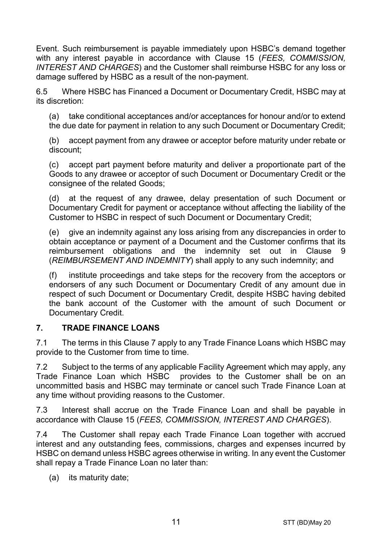Event. Such reimbursement is payable immediately upon HSBC's demand together with any interest payable in accordance with Clause [15](#page-16-0) (*[FEES, COMMISSION,](#page-16-0)  [INTEREST AND CHARGES](#page-16-0)*) and the Customer shall reimburse HSBC for any loss or damage suffered by HSBC as a result of the non-payment.

6.5 Where HSBC has Financed a Document or Documentary Credit, HSBC may at its discretion:

(a) take conditional acceptances and/or acceptances for honour and/or to extend the due date for payment in relation to any such Document or Documentary Credit;

(b) accept payment from any drawee or acceptor before maturity under rebate or discount;

(c) accept part payment before maturity and deliver a proportionate part of the Goods to any drawee or acceptor of such Document or Documentary Credit or the consignee of the related Goods;

(d) at the request of any drawee, delay presentation of such Document or Documentary Credit for payment or acceptance without affecting the liability of the Customer to HSBC in respect of such Document or Documentary Credit;

(e) give an indemnity against any loss arising from any discrepancies in order to obtain acceptance or payment of a Document and the Customer confirms that its reimbursement obligations and the indemnity set out in Clause [9](#page-13-0) (*[REIMBURSEMENT AND INDEMNITY](#page-13-0)*) shall apply to any such indemnity; and

(f) institute proceedings and take steps for the recovery from the acceptors or endorsers of any such Document or Documentary Credit of any amount due in respect of such Document or Documentary Credit, despite HSBC having debited the bank account of the Customer with the amount of such Document or Documentary Credit.

## <span id="page-10-0"></span>**7. TRADE FINANCE LOANS**

7.1 The terms in this Clause [7](#page-10-0) apply to any Trade Finance Loans which HSBC may provide to the Customer from time to time.

7.2 Subject to the terms of any applicable Facility Agreement which may apply, any Trade Finance Loan which HSBC provides to the Customer shall be on an uncommitted basis and HSBC may terminate or cancel such Trade Finance Loan at any time without providing reasons to the Customer.

7.3 Interest shall accrue on the Trade Finance Loan and shall be payable in accordance with Clause [15](#page-16-0) (*[FEES, COMMISSION, INTEREST AND CHARGES](#page-16-0)*).

7.4 The Customer shall repay each Trade Finance Loan together with accrued interest and any outstanding fees, commissions, charges and expenses incurred by HSBC on demand unless HSBC agrees otherwise in writing. In any event the Customer shall repay a Trade Finance Loan no later than:

(a) its maturity date;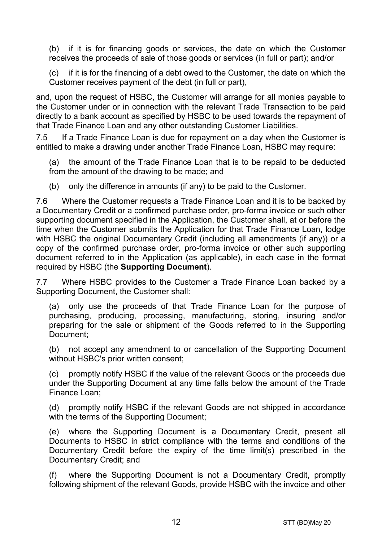(b) if it is for financing goods or services, the date on which the Customer receives the proceeds of sale of those goods or services (in full or part); and/or

(c) if it is for the financing of a debt owed to the Customer, the date on which the Customer receives payment of the debt (in full or part),

and, upon the request of HSBC, the Customer will arrange for all monies payable to the Customer under or in connection with the relevant Trade Transaction to be paid directly to a bank account as specified by HSBC to be used towards the repayment of that Trade Finance Loan and any other outstanding Customer Liabilities.

7.5 If a Trade Finance Loan is due for repayment on a day when the Customer is entitled to make a drawing under another Trade Finance Loan, HSBC may require:

(a) the amount of the Trade Finance Loan that is to be repaid to be deducted from the amount of the drawing to be made; and

(b) only the difference in amounts (if any) to be paid to the Customer.

7.6 Where the Customer requests a Trade Finance Loan and it is to be backed by a Documentary Credit or a confirmed purchase order, pro-forma invoice or such other supporting document specified in the Application, the Customer shall, at or before the time when the Customer submits the Application for that Trade Finance Loan, lodge with HSBC the original Documentary Credit (including all amendments (if any)) or a copy of the confirmed purchase order, pro-forma invoice or other such supporting document referred to in the Application (as applicable), in each case in the format required by HSBC (the **Supporting Document**).

7.7 Where HSBC provides to the Customer a Trade Finance Loan backed by a Supporting Document, the Customer shall:

(a) only use the proceeds of that Trade Finance Loan for the purpose of purchasing, producing, processing, manufacturing, storing, insuring and/or preparing for the sale or shipment of the Goods referred to in the Supporting Document;

(b) not accept any amendment to or cancellation of the Supporting Document without HSBC's prior written consent;

(c) promptly notify HSBC if the value of the relevant Goods or the proceeds due under the Supporting Document at any time falls below the amount of the Trade Finance Loan;

(d) promptly notify HSBC if the relevant Goods are not shipped in accordance with the terms of the Supporting Document;

(e) where the Supporting Document is a Documentary Credit, present all Documents to HSBC in strict compliance with the terms and conditions of the Documentary Credit before the expiry of the time limit(s) prescribed in the Documentary Credit; and

(f) where the Supporting Document is not a Documentary Credit, promptly following shipment of the relevant Goods, provide HSBC with the invoice and other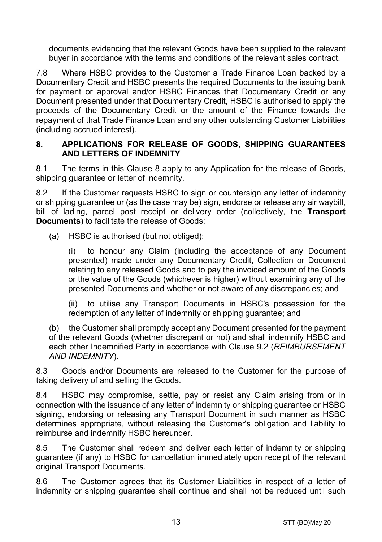documents evidencing that the relevant Goods have been supplied to the relevant buyer in accordance with the terms and conditions of the relevant sales contract.

7.8 Where HSBC provides to the Customer a Trade Finance Loan backed by a Documentary Credit and HSBC presents the required Documents to the issuing bank for payment or approval and/or HSBC Finances that Documentary Credit or any Document presented under that Documentary Credit, HSBC is authorised to apply the proceeds of the Documentary Credit or the amount of the Finance towards the repayment of that Trade Finance Loan and any other outstanding Customer Liabilities (including accrued interest).

#### <span id="page-12-0"></span>**8. APPLICATIONS FOR RELEASE OF GOODS, SHIPPING GUARANTEES AND LETTERS OF INDEMNITY**

8.1 The terms in this Clause [8](#page-12-0) apply to any Application for the release of Goods, shipping quarantee or letter of indemnity.

8.2 If the Customer requests HSBC to sign or countersign any letter of indemnity or shipping guarantee or (as the case may be) sign, endorse or release any air waybill, bill of lading, parcel post receipt or delivery order (collectively, the **Transport Documents**) to facilitate the release of Goods:

(a) HSBC is authorised (but not obliged):

(i) to honour any Claim (including the acceptance of any Document presented) made under any Documentary Credit, Collection or Document relating to any released Goods and to pay the invoiced amount of the Goods or the value of the Goods (whichever is higher) without examining any of the presented Documents and whether or not aware of any discrepancies; and

(ii) to utilise any Transport Documents in HSBC's possession for the redemption of any letter of indemnity or shipping guarantee; and

(b) the Customer shall promptly accept any Document presented for the payment of the relevant Goods (whether discrepant or not) and shall indemnify HSBC and each other Indemnified Party in accordance with Clause [9.2](#page-13-1) (*[REIMBURSEMENT](#page-13-0)  [AND INDEMNITY](#page-13-0)*).

8.3 Goods and/or Documents are released to the Customer for the purpose of taking delivery of and selling the Goods.

8.4 HSBC may compromise, settle, pay or resist any Claim arising from or in connection with the issuance of any letter of indemnity or shipping guarantee or HSBC signing, endorsing or releasing any Transport Document in such manner as HSBC determines appropriate, without releasing the Customer's obligation and liability to reimburse and indemnify HSBC hereunder.

8.5 The Customer shall redeem and deliver each letter of indemnity or shipping guarantee (if any) to HSBC for cancellation immediately upon receipt of the relevant original Transport Documents.

8.6 The Customer agrees that its Customer Liabilities in respect of a letter of indemnity or shipping guarantee shall continue and shall not be reduced until such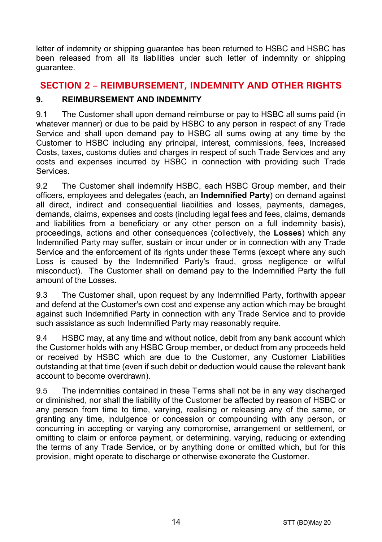letter of indemnity or shipping guarantee has been returned to HSBC and HSBC has been released from all its liabilities under such letter of indemnity or shipping guarantee.

# **SECTION 2 – REIMBURSEMENT, INDEMNITY AND OTHER RIGHTS**

# <span id="page-13-0"></span>**9. REIMBURSEMENT AND INDEMNITY**

9.1 The Customer shall upon demand reimburse or pay to HSBC all sums paid (in whatever manner) or due to be paid by HSBC to any person in respect of any Trade Service and shall upon demand pay to HSBC all sums owing at any time by the Customer to HSBC including any principal, interest, commissions, fees, Increased Costs, taxes, customs duties and charges in respect of such Trade Services and any costs and expenses incurred by HSBC in connection with providing such Trade **Services** 

<span id="page-13-1"></span>9.2 The Customer shall indemnify HSBC, each HSBC Group member, and their officers, employees and delegates (each, an **Indemnified Party**) on demand against all direct, indirect and consequential liabilities and losses, payments, damages, demands, claims, expenses and costs (including legal fees and fees, claims, demands and liabilities from a beneficiary or any other person on a full indemnity basis), proceedings, actions and other consequences (collectively, the **Losses**) which any Indemnified Party may suffer, sustain or incur under or in connection with any Trade Service and the enforcement of its rights under these Terms (except where any such Loss is caused by the Indemnified Party's fraud, gross negligence or wilful misconduct). The Customer shall on demand pay to the Indemnified Party the full amount of the Losses.

9.3 The Customer shall, upon request by any Indemnified Party, forthwith appear and defend at the Customer's own cost and expense any action which may be brought against such Indemnified Party in connection with any Trade Service and to provide such assistance as such Indemnified Party may reasonably require.

9.4 HSBC may, at any time and without notice, debit from any bank account which the Customer holds with any HSBC Group member, or deduct from any proceeds held or received by HSBC which are due to the Customer, any Customer Liabilities outstanding at that time (even if such debit or deduction would cause the relevant bank account to become overdrawn).

9.5 The indemnities contained in these Terms shall not be in any way discharged or diminished, nor shall the liability of the Customer be affected by reason of HSBC or any person from time to time, varying, realising or releasing any of the same, or granting any time, indulgence or concession or compounding with any person, or concurring in accepting or varying any compromise, arrangement or settlement, or omitting to claim or enforce payment, or determining, varying, reducing or extending the terms of any Trade Service, or by anything done or omitted which, but for this provision, might operate to discharge or otherwise exonerate the Customer.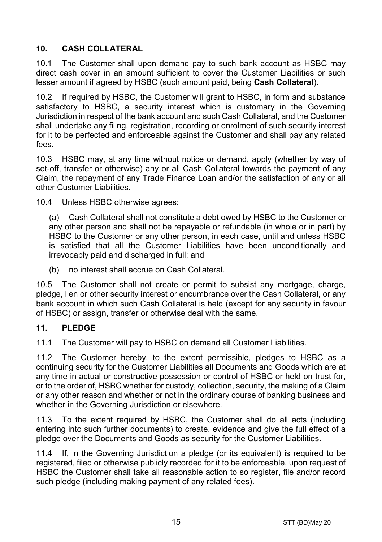# <span id="page-14-1"></span>**10. CASH COLLATERAL**

10.1 The Customer shall upon demand pay to such bank account as HSBC may direct cash cover in an amount sufficient to cover the Customer Liabilities or such lesser amount if agreed by HSBC (such amount paid, being **Cash Collateral**).

10.2 If required by HSBC, the Customer will grant to HSBC, in form and substance satisfactory to HSBC, a security interest which is customary in the Governing Jurisdiction in respect of the bank account and such Cash Collateral, and the Customer shall undertake any filing, registration, recording or enrolment of such security interest for it to be perfected and enforceable against the Customer and shall pay any related fees.

10.3 HSBC may, at any time without notice or demand, apply (whether by way of set-off, transfer or otherwise) any or all Cash Collateral towards the payment of any Claim, the repayment of any Trade Finance Loan and/or the satisfaction of any or all other Customer Liabilities.

10.4 Unless HSBC otherwise agrees:

(a) Cash Collateral shall not constitute a debt owed by HSBC to the Customer or any other person and shall not be repayable or refundable (in whole or in part) by HSBC to the Customer or any other person, in each case, until and unless HSBC is satisfied that all the Customer Liabilities have been unconditionally and irrevocably paid and discharged in full; and

(b) no interest shall accrue on Cash Collateral.

10.5 The Customer shall not create or permit to subsist any mortgage, charge, pledge, lien or other security interest or encumbrance over the Cash Collateral, or any bank account in which such Cash Collateral is held (except for any security in favour of HSBC) or assign, transfer or otherwise deal with the same.

## <span id="page-14-0"></span>**11. PLEDGE**

11.1 The Customer will pay to HSBC on demand all Customer Liabilities.

11.2 The Customer hereby, to the extent permissible, pledges to HSBC as a continuing security for the Customer Liabilities all Documents and Goods which are at any time in actual or constructive possession or control of HSBC or held on trust for, or to the order of, HSBC whether for custody, collection, security, the making of a Claim or any other reason and whether or not in the ordinary course of banking business and whether in the Governing Jurisdiction or elsewhere.

11.3 To the extent required by HSBC, the Customer shall do all acts (including entering into such further documents) to create, evidence and give the full effect of a pledge over the Documents and Goods as security for the Customer Liabilities.

11.4 If, in the Governing Jurisdiction a pledge (or its equivalent) is required to be registered, filed or otherwise publicly recorded for it to be enforceable, upon request of HSBC the Customer shall take all reasonable action to so register, file and/or record such pledge (including making payment of any related fees).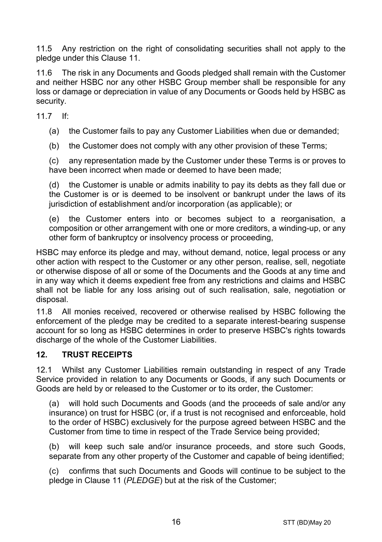11.5 Any restriction on the right of consolidating securities shall not apply to the pledge under this Clause [11.](#page-14-0)

11.6 The risk in any Documents and Goods pledged shall remain with the Customer and neither HSBC nor any other HSBC Group member shall be responsible for any loss or damage or depreciation in value of any Documents or Goods held by HSBC as security.

11.7 If:

(a) the Customer fails to pay any Customer Liabilities when due or demanded;

(b) the Customer does not comply with any other provision of these Terms;

(c) any representation made by the Customer under these Terms is or proves to have been incorrect when made or deemed to have been made;

(d) the Customer is unable or admits inability to pay its debts as they fall due or the Customer is or is deemed to be insolvent or bankrupt under the laws of its jurisdiction of establishment and/or incorporation (as applicable); or

(e) the Customer enters into or becomes subject to a reorganisation, a composition or other arrangement with one or more creditors, a winding-up, or any other form of bankruptcy or insolvency process or proceeding,

HSBC may enforce its pledge and may, without demand, notice, legal process or any other action with respect to the Customer or any other person, realise, sell, negotiate or otherwise dispose of all or some of the Documents and the Goods at any time and in any way which it deems expedient free from any restrictions and claims and HSBC shall not be liable for any loss arising out of such realisation, sale, negotiation or disposal.

11.8 All monies received, recovered or otherwise realised by HSBC following the enforcement of the pledge may be credited to a separate interest-bearing suspense account for so long as HSBC determines in order to preserve HSBC's rights towards discharge of the whole of the Customer Liabilities.

## **12. TRUST RECEIPTS**

12.1 Whilst any Customer Liabilities remain outstanding in respect of any Trade Service provided in relation to any Documents or Goods, if any such Documents or Goods are held by or released to the Customer or to its order, the Customer:

(a) will hold such Documents and Goods (and the proceeds of sale and/or any insurance) on trust for HSBC (or, if a trust is not recognised and enforceable, hold to the order of HSBC) exclusively for the purpose agreed between HSBC and the Customer from time to time in respect of the Trade Service being provided;

(b) will keep such sale and/or insurance proceeds, and store such Goods, separate from any other property of the Customer and capable of being identified;

(c) confirms that such Documents and Goods will continue to be subject to the pledge in Claus[e 11](#page-14-0) (*[PLEDGE](#page-14-0)*) but at the risk of the Customer;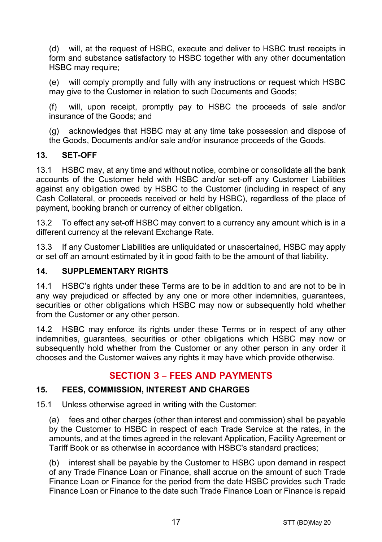(d) will, at the request of HSBC, execute and deliver to HSBC trust receipts in form and substance satisfactory to HSBC together with any other documentation HSBC may require:

(e) will comply promptly and fully with any instructions or request which HSBC may give to the Customer in relation to such Documents and Goods;

(f) will, upon receipt, promptly pay to HSBC the proceeds of sale and/or insurance of the Goods; and

(g) acknowledges that HSBC may at any time take possession and dispose of the Goods, Documents and/or sale and/or insurance proceeds of the Goods.

## **13. SET-OFF**

13.1 HSBC may, at any time and without notice, combine or consolidate all the bank accounts of the Customer held with HSBC and/or set-off any Customer Liabilities against any obligation owed by HSBC to the Customer (including in respect of any Cash Collateral, or proceeds received or held by HSBC), regardless of the place of payment, booking branch or currency of either obligation.

13.2 To effect any set-off HSBC may convert to a currency any amount which is in a different currency at the relevant Exchange Rate.

13.3 If any Customer Liabilities are unliquidated or unascertained, HSBC may apply or set off an amount estimated by it in good faith to be the amount of that liability.

## **14. SUPPLEMENTARY RIGHTS**

14.1 HSBC's rights under these Terms are to be in addition to and are not to be in any way prejudiced or affected by any one or more other indemnities, guarantees, securities or other obligations which HSBC may now or subsequently hold whether from the Customer or any other person.

14.2 HSBC may enforce its rights under these Terms or in respect of any other indemnities, guarantees, securities or other obligations which HSBC may now or subsequently hold whether from the Customer or any other person in any order it chooses and the Customer waives any rights it may have which provide otherwise.

# **SECTION 3 – FEES AND PAYMENTS**

## <span id="page-16-0"></span>**15. FEES, COMMISSION, INTEREST AND CHARGES**

15.1 Unless otherwise agreed in writing with the Customer:

(a) fees and other charges (other than interest and commission) shall be payable by the Customer to HSBC in respect of each Trade Service at the rates, in the amounts, and at the times agreed in the relevant Application, Facility Agreement or Tariff Book or as otherwise in accordance with HSBC's standard practices;

(b) interest shall be payable by the Customer to HSBC upon demand in respect of any Trade Finance Loan or Finance, shall accrue on the amount of such Trade Finance Loan or Finance for the period from the date HSBC provides such Trade Finance Loan or Finance to the date such Trade Finance Loan or Finance is repaid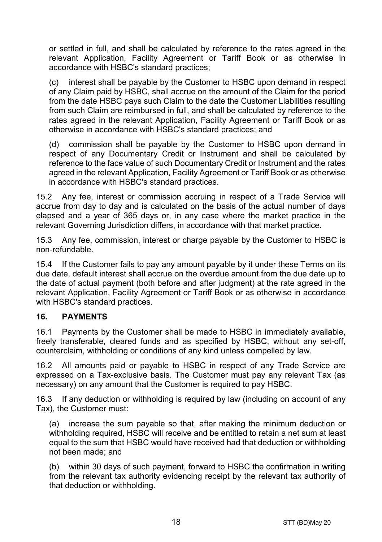or settled in full, and shall be calculated by reference to the rates agreed in the relevant Application, Facility Agreement or Tariff Book or as otherwise in accordance with HSBC's standard practices;

(c) interest shall be payable by the Customer to HSBC upon demand in respect of any Claim paid by HSBC, shall accrue on the amount of the Claim for the period from the date HSBC pays such Claim to the date the Customer Liabilities resulting from such Claim are reimbursed in full, and shall be calculated by reference to the rates agreed in the relevant Application, Facility Agreement or Tariff Book or as otherwise in accordance with HSBC's standard practices; and

(d) commission shall be payable by the Customer to HSBC upon demand in respect of any Documentary Credit or Instrument and shall be calculated by reference to the face value of such Documentary Credit or Instrument and the rates agreed in the relevant Application, Facility Agreement or Tariff Book or as otherwise in accordance with HSBC's standard practices.

15.2 Any fee, interest or commission accruing in respect of a Trade Service will accrue from day to day and is calculated on the basis of the actual number of days elapsed and a year of 365 days or, in any case where the market practice in the relevant Governing Jurisdiction differs, in accordance with that market practice.

15.3 Any fee, commission, interest or charge payable by the Customer to HSBC is non-refundable.

15.4 If the Customer fails to pay any amount payable by it under these Terms on its due date, default interest shall accrue on the overdue amount from the due date up to the date of actual payment (both before and after judgment) at the rate agreed in the relevant Application, Facility Agreement or Tariff Book or as otherwise in accordance with HSBC's standard practices.

## **16. PAYMENTS**

16.1 Payments by the Customer shall be made to HSBC in immediately available, freely transferable, cleared funds and as specified by HSBC, without any set-off, counterclaim, withholding or conditions of any kind unless compelled by law.

16.2 All amounts paid or payable to HSBC in respect of any Trade Service are expressed on a Tax-exclusive basis. The Customer must pay any relevant Tax (as necessary) on any amount that the Customer is required to pay HSBC.

16.3 If any deduction or withholding is required by law (including on account of any Tax), the Customer must:

(a) increase the sum payable so that, after making the minimum deduction or withholding required, HSBC will receive and be entitled to retain a net sum at least equal to the sum that HSBC would have received had that deduction or withholding not been made; and

(b) within 30 days of such payment, forward to HSBC the confirmation in writing from the relevant tax authority evidencing receipt by the relevant tax authority of that deduction or withholding.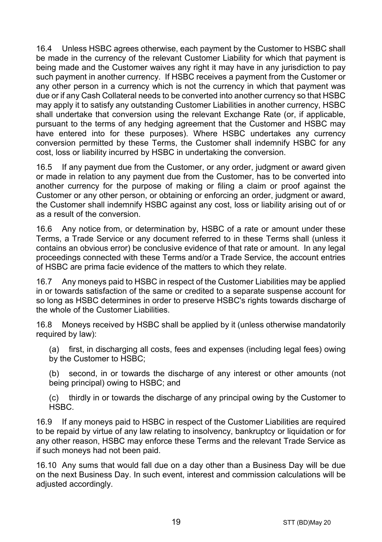16.4 Unless HSBC agrees otherwise, each payment by the Customer to HSBC shall be made in the currency of the relevant Customer Liability for which that payment is being made and the Customer waives any right it may have in any jurisdiction to pay such payment in another currency. If HSBC receives a payment from the Customer or any other person in a currency which is not the currency in which that payment was due or if any Cash Collateral needs to be converted into another currency so that HSBC may apply it to satisfy any outstanding Customer Liabilities in another currency, HSBC shall undertake that conversion using the relevant Exchange Rate (or, if applicable, pursuant to the terms of any hedging agreement that the Customer and HSBC may have entered into for these purposes). Where HSBC undertakes any currency conversion permitted by these Terms, the Customer shall indemnify HSBC for any cost, loss or liability incurred by HSBC in undertaking the conversion.

16.5 If any payment due from the Customer, or any order, judgment or award given or made in relation to any payment due from the Customer, has to be converted into another currency for the purpose of making or filing a claim or proof against the Customer or any other person, or obtaining or enforcing an order, judgment or award, the Customer shall indemnify HSBC against any cost, loss or liability arising out of or as a result of the conversion.

16.6 Any notice from, or determination by, HSBC of a rate or amount under these Terms, a Trade Service or any document referred to in these Terms shall (unless it contains an obvious error) be conclusive evidence of that rate or amount. In any legal proceedings connected with these Terms and/or a Trade Service, the account entries of HSBC are prima facie evidence of the matters to which they relate.

16.7 Any moneys paid to HSBC in respect of the Customer Liabilities may be applied in or towards satisfaction of the same or credited to a separate suspense account for so long as HSBC determines in order to preserve HSBC's rights towards discharge of the whole of the Customer Liabilities.

16.8 Moneys received by HSBC shall be applied by it (unless otherwise mandatorily required by law):

(a) first, in discharging all costs, fees and expenses (including legal fees) owing by the Customer to HSBC;

(b) second, in or towards the discharge of any interest or other amounts (not being principal) owing to HSBC; and

(c) thirdly in or towards the discharge of any principal owing by the Customer to HSBC.

16.9 If any moneys paid to HSBC in respect of the Customer Liabilities are required to be repaid by virtue of any law relating to insolvency, bankruptcy or liquidation or for any other reason, HSBC may enforce these Terms and the relevant Trade Service as if such moneys had not been paid.

16.10 Any sums that would fall due on a day other than a Business Day will be due on the next Business Day. In such event, interest and commission calculations will be adjusted accordingly.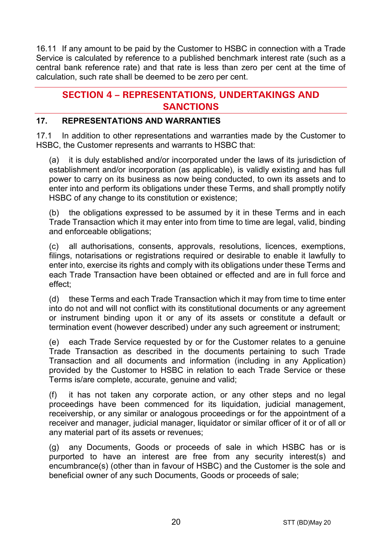16.11 If any amount to be paid by the Customer to HSBC in connection with a Trade Service is calculated by reference to a published benchmark interest rate (such as a central bank reference rate) and that rate is less than zero per cent at the time of calculation, such rate shall be deemed to be zero per cent.

# **SECTION 4 – REPRESENTATIONS, UNDERTAKINGS AND SANCTIONS**

## **17. REPRESENTATIONS AND WARRANTIES**

17.1 In addition to other representations and warranties made by the Customer to HSBC, the Customer represents and warrants to HSBC that:

(a) it is duly established and/or incorporated under the laws of its jurisdiction of establishment and/or incorporation (as applicable), is validly existing and has full power to carry on its business as now being conducted, to own its assets and to enter into and perform its obligations under these Terms, and shall promptly notify HSBC of any change to its constitution or existence;

(b) the obligations expressed to be assumed by it in these Terms and in each Trade Transaction which it may enter into from time to time are legal, valid, binding and enforceable obligations;

(c) all authorisations, consents, approvals, resolutions, licences, exemptions, filings, notarisations or registrations required or desirable to enable it lawfully to enter into, exercise its rights and comply with its obligations under these Terms and each Trade Transaction have been obtained or effected and are in full force and effect;

(d) these Terms and each Trade Transaction which it may from time to time enter into do not and will not conflict with its constitutional documents or any agreement or instrument binding upon it or any of its assets or constitute a default or termination event (however described) under any such agreement or instrument;

(e) each Trade Service requested by or for the Customer relates to a genuine Trade Transaction as described in the documents pertaining to such Trade Transaction and all documents and information (including in any Application) provided by the Customer to HSBC in relation to each Trade Service or these Terms is/are complete, accurate, genuine and valid;

(f) it has not taken any corporate action, or any other steps and no legal proceedings have been commenced for its liquidation, judicial management, receivership, or any similar or analogous proceedings or for the appointment of a receiver and manager, judicial manager, liquidator or similar officer of it or of all or any material part of its assets or revenues;

(g) any Documents, Goods or proceeds of sale in which HSBC has or is purported to have an interest are free from any security interest(s) and encumbrance(s) (other than in favour of HSBC) and the Customer is the sole and beneficial owner of any such Documents, Goods or proceeds of sale;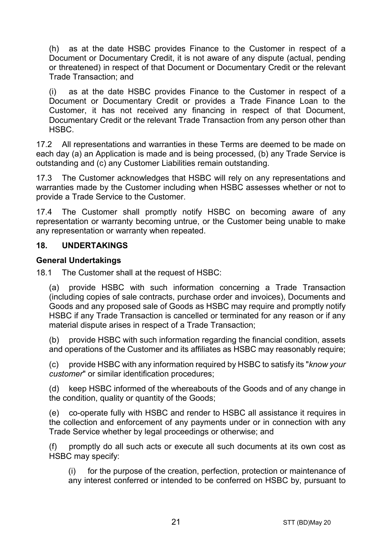(h) as at the date HSBC provides Finance to the Customer in respect of a Document or Documentary Credit, it is not aware of any dispute (actual, pending or threatened) in respect of that Document or Documentary Credit or the relevant Trade Transaction; and

(i) as at the date HSBC provides Finance to the Customer in respect of a Document or Documentary Credit or provides a Trade Finance Loan to the Customer, it has not received any financing in respect of that Document, Documentary Credit or the relevant Trade Transaction from any person other than HSBC.

17.2 All representations and warranties in these Terms are deemed to be made on each day (a) an Application is made and is being processed, (b) any Trade Service is outstanding and (c) any Customer Liabilities remain outstanding.

17.3 The Customer acknowledges that HSBC will rely on any representations and warranties made by the Customer including when HSBC assesses whether or not to provide a Trade Service to the Customer.

17.4 The Customer shall promptly notify HSBC on becoming aware of any representation or warranty becoming untrue, or the Customer being unable to make any representation or warranty when repeated.

#### **18. UNDERTAKINGS**

#### **General Undertakings**

18.1 The Customer shall at the request of HSBC:

(a) provide HSBC with such information concerning a Trade Transaction (including copies of sale contracts, purchase order and invoices), Documents and Goods and any proposed sale of Goods as HSBC may require and promptly notify HSBC if any Trade Transaction is cancelled or terminated for any reason or if any material dispute arises in respect of a Trade Transaction;

(b) provide HSBC with such information regarding the financial condition, assets and operations of the Customer and its affiliates as HSBC may reasonably require;

(c) provide HSBC with any information required by HSBC to satisfy its "*know your customer*" or similar identification procedures;

(d) keep HSBC informed of the whereabouts of the Goods and of any change in the condition, quality or quantity of the Goods;

(e) co-operate fully with HSBC and render to HSBC all assistance it requires in the collection and enforcement of any payments under or in connection with any Trade Service whether by legal proceedings or otherwise; and

(f) promptly do all such acts or execute all such documents at its own cost as HSBC may specify:

(i) for the purpose of the creation, perfection, protection or maintenance of any interest conferred or intended to be conferred on HSBC by, pursuant to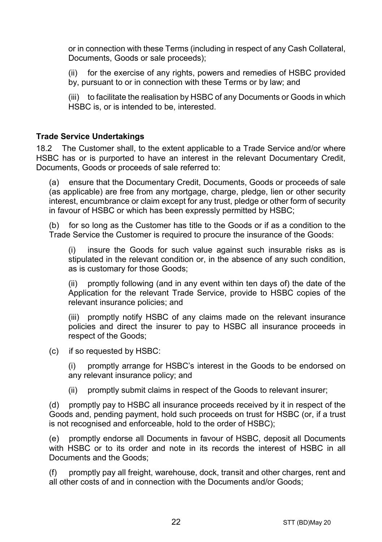or in connection with these Terms (including in respect of any Cash Collateral, Documents, Goods or sale proceeds);

(ii) for the exercise of any rights, powers and remedies of HSBC provided by, pursuant to or in connection with these Terms or by law; and

(iii) to facilitate the realisation by HSBC of any Documents or Goods in which HSBC is, or is intended to be, interested.

#### **Trade Service Undertakings**

18.2 The Customer shall, to the extent applicable to a Trade Service and/or where HSBC has or is purported to have an interest in the relevant Documentary Credit, Documents, Goods or proceeds of sale referred to:

(a) ensure that the Documentary Credit, Documents, Goods or proceeds of sale (as applicable) are free from any mortgage, charge, pledge, lien or other security interest, encumbrance or claim except for any trust, pledge or other form of security in favour of HSBC or which has been expressly permitted by HSBC;

(b) for so long as the Customer has title to the Goods or if as a condition to the Trade Service the Customer is required to procure the insurance of the Goods:

(i) insure the Goods for such value against such insurable risks as is stipulated in the relevant condition or, in the absence of any such condition, as is customary for those Goods;

(ii) promptly following (and in any event within ten days of) the date of the Application for the relevant Trade Service, provide to HSBC copies of the relevant insurance policies; and

(iii) promptly notify HSBC of any claims made on the relevant insurance policies and direct the insurer to pay to HSBC all insurance proceeds in respect of the Goods;

(c) if so requested by HSBC:

(i) promptly arrange for HSBC's interest in the Goods to be endorsed on any relevant insurance policy; and

(ii) promptly submit claims in respect of the Goods to relevant insurer;

(d) promptly pay to HSBC all insurance proceeds received by it in respect of the Goods and, pending payment, hold such proceeds on trust for HSBC (or, if a trust is not recognised and enforceable, hold to the order of HSBC);

(e) promptly endorse all Documents in favour of HSBC, deposit all Documents with HSBC or to its order and note in its records the interest of HSBC in all Documents and the Goods;

(f) promptly pay all freight, warehouse, dock, transit and other charges, rent and all other costs of and in connection with the Documents and/or Goods;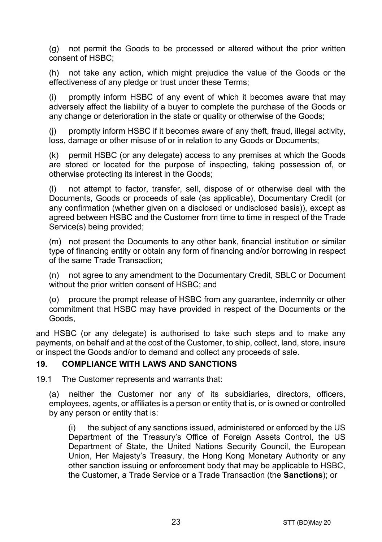(g) not permit the Goods to be processed or altered without the prior written consent of HSBC;

(h) not take any action, which might prejudice the value of the Goods or the effectiveness of any pledge or trust under these Terms;

(i) promptly inform HSBC of any event of which it becomes aware that may adversely affect the liability of a buyer to complete the purchase of the Goods or any change or deterioration in the state or quality or otherwise of the Goods;

(j) promptly inform HSBC if it becomes aware of any theft, fraud, illegal activity, loss, damage or other misuse of or in relation to any Goods or Documents;

(k) permit HSBC (or any delegate) access to any premises at which the Goods are stored or located for the purpose of inspecting, taking possession of, or otherwise protecting its interest in the Goods;

(l) not attempt to factor, transfer, sell, dispose of or otherwise deal with the Documents, Goods or proceeds of sale (as applicable), Documentary Credit (or any confirmation (whether given on a disclosed or undisclosed basis)), except as agreed between HSBC and the Customer from time to time in respect of the Trade Service(s) being provided;

(m) not present the Documents to any other bank, financial institution or similar type of financing entity or obtain any form of financing and/or borrowing in respect of the same Trade Transaction;

(n) not agree to any amendment to the Documentary Credit, SBLC or Document without the prior written consent of HSBC; and

(o) procure the prompt release of HSBC from any guarantee, indemnity or other commitment that HSBC may have provided in respect of the Documents or the Goods,

and HSBC (or any delegate) is authorised to take such steps and to make any payments, on behalf and at the cost of the Customer, to ship, collect, land, store, insure or inspect the Goods and/or to demand and collect any proceeds of sale.

#### <span id="page-22-0"></span>**19. COMPLIANCE WITH LAWS AND SANCTIONS**

19.1 The Customer represents and warrants that:

(a) neither the Customer nor any of its subsidiaries, directors, officers, employees, agents, or affiliates is a person or entity that is, or is owned or controlled by any person or entity that is:

(i) the subject of any sanctions issued, administered or enforced by the US Department of the Treasury's Office of Foreign Assets Control, the US Department of State, the United Nations Security Council, the European Union, Her Majesty's Treasury, the Hong Kong Monetary Authority or any other sanction issuing or enforcement body that may be applicable to HSBC, the Customer, a Trade Service or a Trade Transaction (the **Sanctions**); or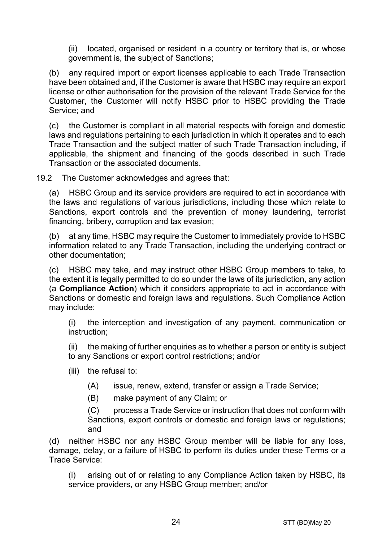(ii) located, organised or resident in a country or territory that is, or whose government is, the subject of Sanctions;

(b) any required import or export licenses applicable to each Trade Transaction have been obtained and, if the Customer is aware that HSBC may require an export license or other authorisation for the provision of the relevant Trade Service for the Customer, the Customer will notify HSBC prior to HSBC providing the Trade Service; and

(c) the Customer is compliant in all material respects with foreign and domestic laws and regulations pertaining to each jurisdiction in which it operates and to each Trade Transaction and the subject matter of such Trade Transaction including, if applicable, the shipment and financing of the goods described in such Trade Transaction or the associated documents.

19.2 The Customer acknowledges and agrees that:

(a) HSBC Group and its service providers are required to act in accordance with the laws and regulations of various jurisdictions, including those which relate to Sanctions, export controls and the prevention of money laundering, terrorist financing, bribery, corruption and tax evasion;

(b) at any time, HSBC may require the Customer to immediately provide to HSBC information related to any Trade Transaction, including the underlying contract or other documentation;

(c) HSBC may take, and may instruct other HSBC Group members to take, to the extent it is legally permitted to do so under the laws of its jurisdiction, any action (a **Compliance Action**) which it considers appropriate to act in accordance with Sanctions or domestic and foreign laws and regulations. Such Compliance Action may include:

(i) the interception and investigation of any payment, communication or instruction;

(ii) the making of further enquiries as to whether a person or entity is subject to any Sanctions or export control restrictions; and/or

- (iii) the refusal to:
	- (A) issue, renew, extend, transfer or assign a Trade Service;
	- (B) make payment of any Claim; or

(C) process a Trade Service or instruction that does not conform with Sanctions, export controls or domestic and foreign laws or regulations; and

(d) neither HSBC nor any HSBC Group member will be liable for any loss, damage, delay, or a failure of HSBC to perform its duties under these Terms or a Trade Service:

(i) arising out of or relating to any Compliance Action taken by HSBC, its service providers, or any HSBC Group member; and/or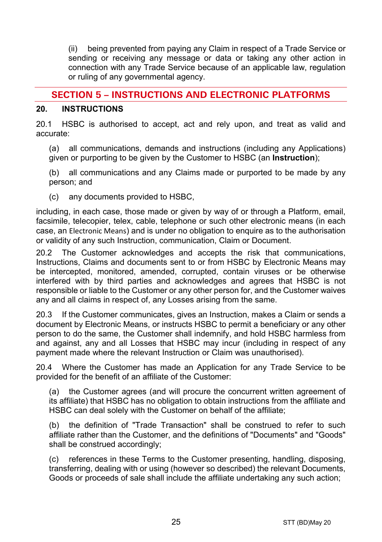(ii) being prevented from paying any Claim in respect of a Trade Service or sending or receiving any message or data or taking any other action in connection with any Trade Service because of an applicable law, regulation or ruling of any governmental agency.

# **SECTION 5 – INSTRUCTIONS AND ELECTRONIC PLATFORMS**

#### <span id="page-24-0"></span>**20. INSTRUCTIONS**

20.1 HSBC is authorised to accept, act and rely upon, and treat as valid and accurate:

(a) all communications, demands and instructions (including any Applications) given or purporting to be given by the Customer to HSBC (an **Instruction**);

(b) all communications and any Claims made or purported to be made by any person; and

(c) any documents provided to HSBC,

including, in each case, those made or given by way of or through a Platform, email, facsimile, telecopier, telex, cable, telephone or such other electronic means (in each case, an Electronic Means) and is under no obligation to enquire as to the authorisation or validity of any such Instruction, communication, Claim or Document.

20.2 The Customer acknowledges and accepts the risk that communications, Instructions, Claims and documents sent to or from HSBC by Electronic Means may be intercepted, monitored, amended, corrupted, contain viruses or be otherwise interfered with by third parties and acknowledges and agrees that HSBC is not responsible or liable to the Customer or any other person for, and the Customer waives any and all claims in respect of, any Losses arising from the same.

20.3 If the Customer communicates, gives an Instruction, makes a Claim or sends a document by Electronic Means, or instructs HSBC to permit a beneficiary or any other person to do the same, the Customer shall indemnify, and hold HSBC harmless from and against, any and all Losses that HSBC may incur (including in respect of any payment made where the relevant Instruction or Claim was unauthorised).

20.4 Where the Customer has made an Application for any Trade Service to be provided for the benefit of an affiliate of the Customer:

(a) the Customer agrees (and will procure the concurrent written agreement of its affiliate) that HSBC has no obligation to obtain instructions from the affiliate and HSBC can deal solely with the Customer on behalf of the affiliate;

(b) the definition of "Trade Transaction" shall be construed to refer to such affiliate rather than the Customer, and the definitions of "Documents" and "Goods" shall be construed accordingly;

(c) references in these Terms to the Customer presenting, handling, disposing, transferring, dealing with or using (however so described) the relevant Documents, Goods or proceeds of sale shall include the affiliate undertaking any such action;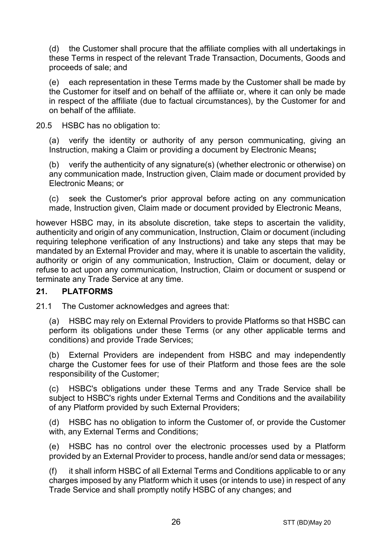(d) the Customer shall procure that the affiliate complies with all undertakings in these Terms in respect of the relevant Trade Transaction, Documents, Goods and proceeds of sale; and

(e) each representation in these Terms made by the Customer shall be made by the Customer for itself and on behalf of the affiliate or, where it can only be made in respect of the affiliate (due to factual circumstances), by the Customer for and on behalf of the affiliate.

20.5 HSBC has no obligation to:

(a) verify the identity or authority of any person communicating, giving an Instruction, making a Claim or providing a document by Electronic Means**;**

(b) verify the authenticity of any signature(s) (whether electronic or otherwise) on any communication made, Instruction given, Claim made or document provided by Electronic Means; or

(c) seek the Customer's prior approval before acting on any communication made, Instruction given, Claim made or document provided by Electronic Means,

however HSBC may, in its absolute discretion, take steps to ascertain the validity, authenticity and origin of any communication, Instruction, Claim or document (including requiring telephone verification of any Instructions) and take any steps that may be mandated by an External Provider and may, where it is unable to ascertain the validity, authority or origin of any communication, Instruction, Claim or document, delay or refuse to act upon any communication, Instruction, Claim or document or suspend or terminate any Trade Service at any time.

## **21. PLATFORMS**

21.1 The Customer acknowledges and agrees that:

(a) HSBC may rely on External Providers to provide Platforms so that HSBC can perform its obligations under these Terms (or any other applicable terms and conditions) and provide Trade Services;

(b) External Providers are independent from HSBC and may independently charge the Customer fees for use of their Platform and those fees are the sole responsibility of the Customer;

(c) HSBC's obligations under these Terms and any Trade Service shall be subject to HSBC's rights under External Terms and Conditions and the availability of any Platform provided by such External Providers;

(d) HSBC has no obligation to inform the Customer of, or provide the Customer with, any External Terms and Conditions;

(e) HSBC has no control over the electronic processes used by a Platform provided by an External Provider to process, handle and/or send data or messages;

(f) it shall inform HSBC of all External Terms and Conditions applicable to or any charges imposed by any Platform which it uses (or intends to use) in respect of any Trade Service and shall promptly notify HSBC of any changes; and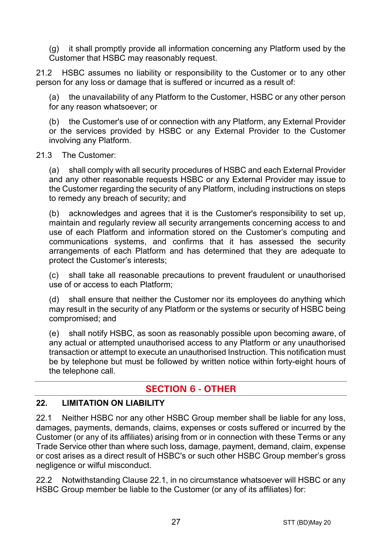(g) it shall promptly provide all information concerning any Platform used by the Customer that HSBC may reasonably request.

21.2 HSBC assumes no liability or responsibility to the Customer or to any other person for any loss or damage that is suffered or incurred as a result of:

the unavailability of any Platform to the Customer, HSBC or any other person for any reason whatsoever; or

(b) the Customer's use of or connection with any Platform, any External Provider or the services provided by HSBC or any External Provider to the Customer involving any Platform.

#### 21.3 The Customer:

(a) shall comply with all security procedures of HSBC and each External Provider and any other reasonable requests HSBC or any External Provider may issue to the Customer regarding the security of any Platform, including instructions on steps to remedy any breach of security; and

(b) acknowledges and agrees that it is the Customer's responsibility to set up, maintain and regularly review all security arrangements concerning access to and use of each Platform and information stored on the Customer's computing and communications systems, and confirms that it has assessed the security arrangements of each Platform and has determined that they are adequate to protect the Customer's interests;

(c) shall take all reasonable precautions to prevent fraudulent or unauthorised use of or access to each Platform;

(d) shall ensure that neither the Customer nor its employees do anything which may result in the security of any Platform or the systems or security of HSBC being compromised; and

(e) shall notify HSBC, as soon as reasonably possible upon becoming aware, of any actual or attempted unauthorised access to any Platform or any unauthorised transaction or attempt to execute an unauthorised Instruction. This notification must be by telephone but must be followed by written notice within forty-eight hours of the telephone call.

# **SECTION 6 - OTHER**

#### **22. LIMITATION ON LIABILITY**

<span id="page-26-0"></span>22.1 Neither HSBC nor any other HSBC Group member shall be liable for any loss, damages, payments, demands, claims, expenses or costs suffered or incurred by the Customer (or any of its affiliates) arising from or in connection with these Terms or any Trade Service other than where such loss, damage, payment, demand, claim, expense or cost arises as a direct result of HSBC's or such other HSBC Group member's gross negligence or wilful misconduct.

<span id="page-26-1"></span>22.2 Notwithstanding Clause [22.1,](#page-26-0) in no circumstance whatsoever will HSBC or any HSBC Group member be liable to the Customer (or any of its affiliates) for: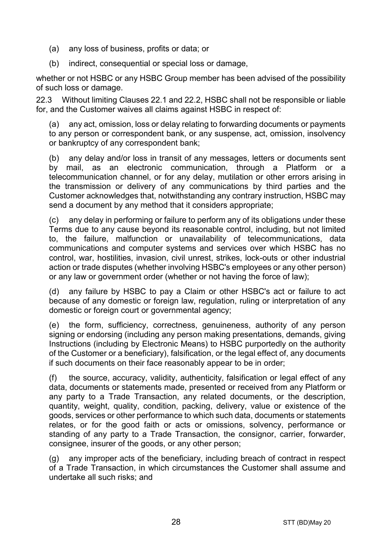- (a) any loss of business, profits or data; or
- (b) indirect, consequential or special loss or damage,

whether or not HSBC or any HSBC Group member has been advised of the possibility of such loss or damage.

22.3 Without limiting Clauses [22.1](#page-26-0) and [22.2,](#page-26-1) HSBC shall not be responsible or liable for, and the Customer waives all claims against HSBC in respect of:

(a) any act, omission, loss or delay relating to forwarding documents or payments to any person or correspondent bank, or any suspense, act, omission, insolvency or bankruptcy of any correspondent bank;

(b) any delay and/or loss in transit of any messages, letters or documents sent by mail, as an electronic communication, through a Platform or a telecommunication channel, or for any delay, mutilation or other errors arising in the transmission or delivery of any communications by third parties and the Customer acknowledges that, notwithstanding any contrary instruction, HSBC may send a document by any method that it considers appropriate;

(c) any delay in performing or failure to perform any of its obligations under these Terms due to any cause beyond its reasonable control, including, but not limited to, the failure, malfunction or unavailability of telecommunications, data communications and computer systems and services over which HSBC has no control, war, hostilities, invasion, civil unrest, strikes, lock-outs or other industrial action or trade disputes (whether involving HSBC's employees or any other person) or any law or government order (whether or not having the force of law);

(d) any failure by HSBC to pay a Claim or other HSBC's act or failure to act because of any domestic or foreign law, regulation, ruling or interpretation of any domestic or foreign court or governmental agency;

(e) the form, sufficiency, correctness, genuineness, authority of any person signing or endorsing (including any person making presentations, demands, giving Instructions (including by Electronic Means) to HSBC purportedly on the authority of the Customer or a beneficiary), falsification, or the legal effect of, any documents if such documents on their face reasonably appear to be in order;

(f) the source, accuracy, validity, authenticity, falsification or legal effect of any data, documents or statements made, presented or received from any Platform or any party to a Trade Transaction, any related documents, or the description, quantity, weight, quality, condition, packing, delivery, value or existence of the goods, services or other performance to which such data, documents or statements relates, or for the good faith or acts or omissions, solvency, performance or standing of any party to a Trade Transaction, the consignor, carrier, forwarder, consignee, insurer of the goods, or any other person;

(g) any improper acts of the beneficiary, including breach of contract in respect of a Trade Transaction, in which circumstances the Customer shall assume and undertake all such risks; and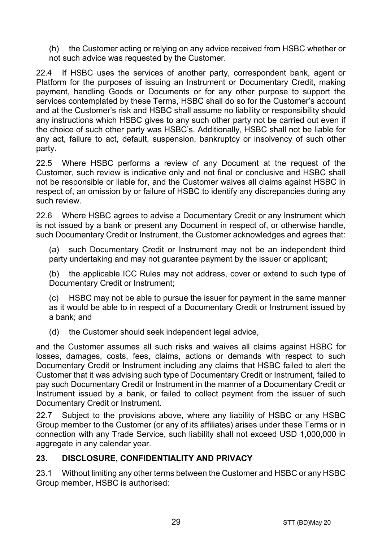(h) the Customer acting or relying on any advice received from HSBC whether or not such advice was requested by the Customer.

22.4 If HSBC uses the services of another party, correspondent bank, agent or Platform for the purposes of issuing an Instrument or Documentary Credit, making payment, handling Goods or Documents or for any other purpose to support the services contemplated by these Terms, HSBC shall do so for the Customer's account and at the Customer's risk and HSBC shall assume no liability or responsibility should any instructions which HSBC gives to any such other party not be carried out even if the choice of such other party was HSBC's. Additionally, HSBC shall not be liable for any act, failure to act, default, suspension, bankruptcy or insolvency of such other party.

22.5 Where HSBC performs a review of any Document at the request of the Customer, such review is indicative only and not final or conclusive and HSBC shall not be responsible or liable for, and the Customer waives all claims against HSBC in respect of, an omission by or failure of HSBC to identify any discrepancies during any such review.

22.6 Where HSBC agrees to advise a Documentary Credit or any Instrument which is not issued by a bank or present any Document in respect of, or otherwise handle, such Documentary Credit or Instrument, the Customer acknowledges and agrees that:

(a) such Documentary Credit or Instrument may not be an independent third party undertaking and may not quarantee payment by the issuer or applicant;

(b) the applicable ICC Rules may not address, cover or extend to such type of Documentary Credit or Instrument;

(c) HSBC may not be able to pursue the issuer for payment in the same manner as it would be able to in respect of a Documentary Credit or Instrument issued by a bank; and

(d) the Customer should seek independent legal advice,

and the Customer assumes all such risks and waives all claims against HSBC for losses, damages, costs, fees, claims, actions or demands with respect to such Documentary Credit or Instrument including any claims that HSBC failed to alert the Customer that it was advising such type of Documentary Credit or Instrument, failed to pay such Documentary Credit or Instrument in the manner of a Documentary Credit or Instrument issued by a bank, or failed to collect payment from the issuer of such Documentary Credit or Instrument.

22.7 Subject to the provisions above, where any liability of HSBC or any HSBC Group member to the Customer (or any of its affiliates) arises under these Terms or in connection with any Trade Service, such liability shall not exceed USD 1,000,000 in aggregate in any calendar year.

## <span id="page-28-0"></span>**23. DISCLOSURE, CONFIDENTIALITY AND PRIVACY**

23.1 Without limiting any other terms between the Customer and HSBC or any HSBC Group member, HSBC is authorised: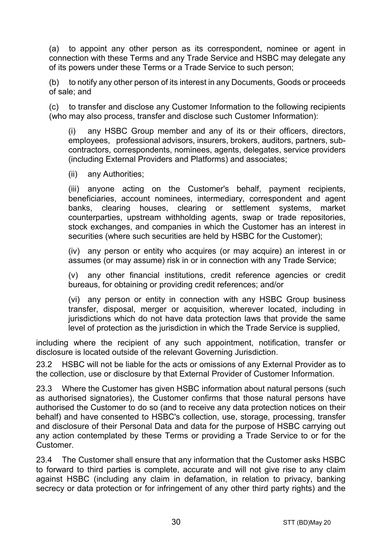<span id="page-29-0"></span>(a) to appoint any other person as its correspondent, nominee or agent in connection with these Terms and any Trade Service and HSBC may delegate any of its powers under these Terms or a Trade Service to such person;

(b) to notify any other person of its interest in any Documents, Goods or proceeds of sale; and

(c) to transfer and disclose any Customer Information to the following recipients (who may also process, transfer and disclose such Customer Information):

(i) any HSBC Group member and any of its or their officers, directors, employees, professional advisors, insurers, brokers, auditors, partners, subcontractors, correspondents, nominees, agents, delegates, service providers (including External Providers and Platforms) and associates;

(ii) any Authorities;

(iii) anyone acting on the Customer's behalf, payment recipients, beneficiaries, account nominees, intermediary, correspondent and agent banks, clearing houses, clearing or settlement systems, market counterparties, upstream withholding agents, swap or trade repositories, stock exchanges, and companies in which the Customer has an interest in securities (where such securities are held by HSBC for the Customer);

(iv) any person or entity who acquires (or may acquire) an interest in or assumes (or may assume) risk in or in connection with any Trade Service;

(v) any other financial institutions, credit reference agencies or credit bureaus, for obtaining or providing credit references; and/or

(vi) any person or entity in connection with any HSBC Group business transfer, disposal, merger or acquisition, wherever located, including in jurisdictions which do not have data protection laws that provide the same level of protection as the jurisdiction in which the Trade Service is supplied,

including where the recipient of any such appointment, notification, transfer or disclosure is located outside of the relevant Governing Jurisdiction.

23.2 HSBC will not be liable for the acts or omissions of any External Provider as to the collection, use or disclosure by that External Provider of Customer Information.

23.3 Where the Customer has given HSBC information about natural persons (such as authorised signatories), the Customer confirms that those natural persons have authorised the Customer to do so (and to receive any data protection notices on their behalf) and have consented to HSBC's collection, use, storage, processing, transfer and disclosure of their Personal Data and data for the purpose of HSBC carrying out any action contemplated by these Terms or providing a Trade Service to or for the Customer.

23.4 The Customer shall ensure that any information that the Customer asks HSBC to forward to third parties is complete, accurate and will not give rise to any claim against HSBC (including any claim in defamation, in relation to privacy, banking secrecy or data protection or for infringement of any other third party rights) and the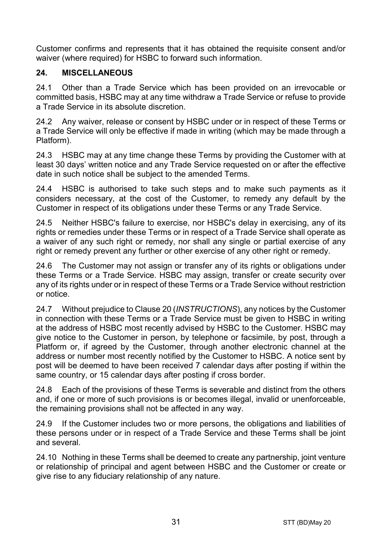Customer confirms and represents that it has obtained the requisite consent and/or waiver (where required) for HSBC to forward such information.

## **24. MISCELLANEOUS**

24.1 Other than a Trade Service which has been provided on an irrevocable or committed basis, HSBC may at any time withdraw a Trade Service or refuse to provide a Trade Service in its absolute discretion.

24.2 Any waiver, release or consent by HSBC under or in respect of these Terms or a Trade Service will only be effective if made in writing (which may be made through a Platform).

24.3 HSBC may at any time change these Terms by providing the Customer with at least 30 days' written notice and any Trade Service requested on or after the effective date in such notice shall be subject to the amended Terms.

24.4 HSBC is authorised to take such steps and to make such payments as it considers necessary, at the cost of the Customer, to remedy any default by the Customer in respect of its obligations under these Terms or any Trade Service.

24.5 Neither HSBC's failure to exercise, nor HSBC's delay in exercising, any of its rights or remedies under these Terms or in respect of a Trade Service shall operate as a waiver of any such right or remedy, nor shall any single or partial exercise of any right or remedy prevent any further or other exercise of any other right or remedy.

24.6 The Customer may not assign or transfer any of its rights or obligations under these Terms or a Trade Service. HSBC may assign, transfer or create security over any of its rights under or in respect of these Terms or a Trade Service without restriction or notice.

24.7 Without prejudice to Claus[e 20](#page-24-0) (*[INSTRUCTIONS](#page-24-0)*), any notices by the Customer in connection with these Terms or a Trade Service must be given to HSBC in writing at the address of HSBC most recently advised by HSBC to the Customer. HSBC may give notice to the Customer in person, by telephone or facsimile, by post, through a Platform or, if agreed by the Customer, through another electronic channel at the address or number most recently notified by the Customer to HSBC. A notice sent by post will be deemed to have been received 7 calendar days after posting if within the same country, or 15 calendar days after posting if cross border.

24.8 Each of the provisions of these Terms is severable and distinct from the others and, if one or more of such provisions is or becomes illegal, invalid or unenforceable, the remaining provisions shall not be affected in any way.

24.9 If the Customer includes two or more persons, the obligations and liabilities of these persons under or in respect of a Trade Service and these Terms shall be joint and several.

24.10 Nothing in these Terms shall be deemed to create any partnership, joint venture or relationship of principal and agent between HSBC and the Customer or create or give rise to any fiduciary relationship of any nature.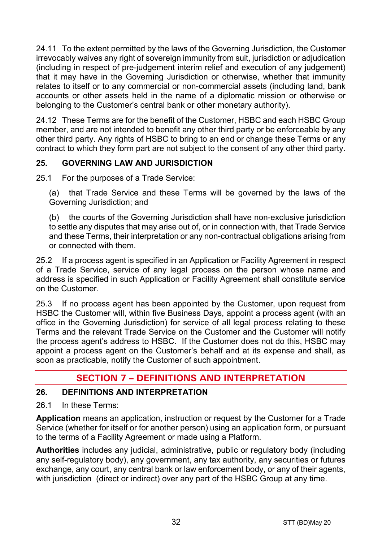24.11 To the extent permitted by the laws of the Governing Jurisdiction, the Customer irrevocably waives any right of sovereign immunity from suit, jurisdiction or adjudication (including in respect of pre-judgement interim relief and execution of any judgement) that it may have in the Governing Jurisdiction or otherwise, whether that immunity relates to itself or to any commercial or non-commercial assets (including land, bank accounts or other assets held in the name of a diplomatic mission or otherwise or belonging to the Customer's central bank or other monetary authority).

24.12 These Terms are for the benefit of the Customer, HSBC and each HSBC Group member, and are not intended to benefit any other third party or be enforceable by any other third party. Any rights of HSBC to bring to an end or change these Terms or any contract to which they form part are not subject to the consent of any other third party.

# **25. GOVERNING LAW AND JURISDICTION**

25.1 For the purposes of a Trade Service:

(a) that Trade Service and these Terms will be governed by the laws of the Governing Jurisdiction; and

(b) the courts of the Governing Jurisdiction shall have non-exclusive jurisdiction to settle any disputes that may arise out of, or in connection with, that Trade Service and these Terms, their interpretation or any non-contractual obligations arising from or connected with them.

25.2 If a process agent is specified in an Application or Facility Agreement in respect of a Trade Service, service of any legal process on the person whose name and address is specified in such Application or Facility Agreement shall constitute service on the Customer.

25.3 If no process agent has been appointed by the Customer, upon request from HSBC the Customer will, within five Business Days, appoint a process agent (with an office in the Governing Jurisdiction) for service of all legal process relating to these Terms and the relevant Trade Service on the Customer and the Customer will notify the process agent's address to HSBC. If the Customer does not do this, HSBC may appoint a process agent on the Customer's behalf and at its expense and shall, as soon as practicable, notify the Customer of such appointment.

# **SECTION 7 – DEFINITIONS AND INTERPRETATION**

## **26. DEFINITIONS AND INTERPRETATION**

26.1 In these Terms:

**Application** means an application, instruction or request by the Customer for a Trade Service (whether for itself or for another person) using an application form, or pursuant to the terms of a Facility Agreement or made using a Platform.

**Authorities** includes any judicial, administrative, public or regulatory body (including any self-regulatory body), any government, any tax authority, any securities or futures exchange, any court, any central bank or law enforcement body, or any of their agents, with jurisdiction (direct or indirect) over any part of the HSBC Group at any time.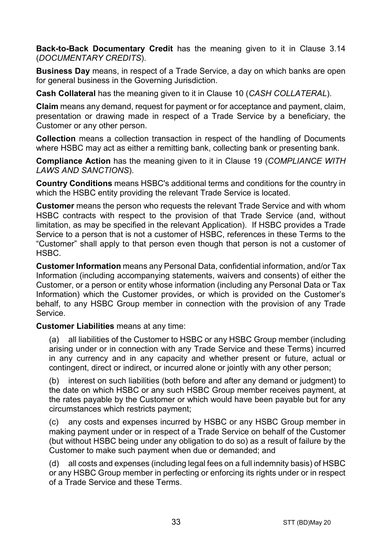**Back-to-Back Documentary Credit** has the meaning given to it in Clause [3.14](#page-5-0) (*[DOCUMENTARY CREDITS](#page-3-0)*).

**Business Day** means, in respect of a Trade Service, a day on which banks are open for general business in the Governing Jurisdiction.

**Cash Collateral** has the meaning given to it in Clause [10](#page-14-1) (*[CASH COLLATERAL](#page-14-1)*).

**Claim** means any demand, request for payment or for acceptance and payment, claim, presentation or drawing made in respect of a Trade Service by a beneficiary, the Customer or any other person.

**Collection** means a collection transaction in respect of the handling of Documents where HSBC may act as either a remitting bank, collecting bank or presenting bank.

**Compliance Action** has the meaning given to it in Clause [19](#page-22-0) (*[COMPLIANCE WITH](#page-22-0)  [LAWS AND SANCTIONS](#page-22-0)*).

**Country Conditions** means HSBC's additional terms and conditions for the country in which the HSBC entity providing the relevant Trade Service is located.

**Customer** means the person who requests the relevant Trade Service and with whom HSBC contracts with respect to the provision of that Trade Service (and, without limitation, as may be specified in the relevant Application). If HSBC provides a Trade Service to a person that is not a customer of HSBC, references in these Terms to the "Customer" shall apply to that person even though that person is not a customer of HSBC.

**Customer Information** means any Personal Data, confidential information, and/or Tax Information (including accompanying statements, waivers and consents) of either the Customer, or a person or entity whose information (including any Personal Data or Tax Information) which the Customer provides, or which is provided on the Customer's behalf, to any HSBC Group member in connection with the provision of any Trade Service.

**Customer Liabilities** means at any time:

(a) all liabilities of the Customer to HSBC or any HSBC Group member (including arising under or in connection with any Trade Service and these Terms) incurred in any currency and in any capacity and whether present or future, actual or contingent, direct or indirect, or incurred alone or jointly with any other person;

(b) interest on such liabilities (both before and after any demand or judgment) to the date on which HSBC or any such HSBC Group member receives payment, at the rates payable by the Customer or which would have been payable but for any circumstances which restricts payment;

(c) any costs and expenses incurred by HSBC or any HSBC Group member in making payment under or in respect of a Trade Service on behalf of the Customer (but without HSBC being under any obligation to do so) as a result of failure by the Customer to make such payment when due or demanded; and

(d) all costs and expenses (including legal fees on a full indemnity basis) of HSBC or any HSBC Group member in perfecting or enforcing its rights under or in respect of a Trade Service and these Terms.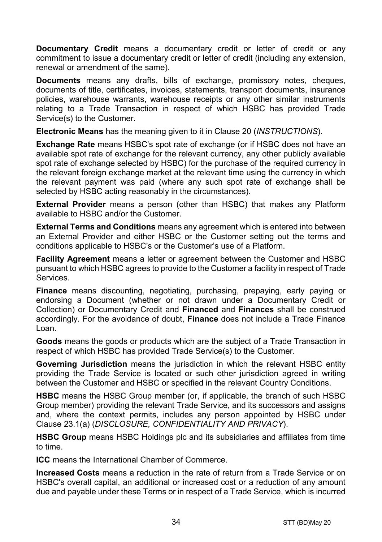**Documentary Credit** means a documentary credit or letter of credit or any commitment to issue a documentary credit or letter of credit (including any extension. renewal or amendment of the same).

**Documents** means any drafts, bills of exchange, promissory notes, cheques, documents of title, certificates, invoices, statements, transport documents, insurance policies, warehouse warrants, warehouse receipts or any other similar instruments relating to a Trade Transaction in respect of which HSBC has provided Trade Service(s) to the Customer.

**Electronic Means** has the meaning given to it in Clause [20](#page-24-0) (*[INSTRUCTIONS](#page-24-0)*).

**Exchange Rate** means HSBC's spot rate of exchange (or if HSBC does not have an available spot rate of exchange for the relevant currency, any other publicly available spot rate of exchange selected by HSBC) for the purchase of the required currency in the relevant foreign exchange market at the relevant time using the currency in which the relevant payment was paid (where any such spot rate of exchange shall be selected by HSBC acting reasonably in the circumstances).

**External Provider** means a person (other than HSBC) that makes any Platform available to HSBC and/or the Customer.

**External Terms and Conditions** means any agreement which is entered into between an External Provider and either HSBC or the Customer setting out the terms and conditions applicable to HSBC's or the Customer's use of a Platform.

**Facility Agreement** means a letter or agreement between the Customer and HSBC pursuant to which HSBC agrees to provide to the Customer a facility in respect of Trade Services.

**Finance** means discounting, negotiating, purchasing, prepaying, early paying or endorsing a Document (whether or not drawn under a Documentary Credit or Collection) or Documentary Credit and **Financed** and **Finances** shall be construed accordingly. For the avoidance of doubt, **Finance** does not include a Trade Finance Loan.

**Goods** means the goods or products which are the subject of a Trade Transaction in respect of which HSBC has provided Trade Service(s) to the Customer.

**Governing Jurisdiction** means the jurisdiction in which the relevant HSBC entity providing the Trade Service is located or such other jurisdiction agreed in writing between the Customer and HSBC or specified in the relevant Country Conditions.

**HSBC** means the HSBC Group member (or, if applicable, the branch of such HSBC Group member) providing the relevant Trade Service, and its successors and assigns and, where the context permits, includes any person appointed by HSBC under Clause [23.1\(a\)](#page-29-0) (*[DISCLOSURE, CONFIDENTIALITY AND PRIVACY](#page-28-0)*).

**HSBC Group** means HSBC Holdings plc and its subsidiaries and affiliates from time to time.

**ICC** means the International Chamber of Commerce.

**Increased Costs** means a reduction in the rate of return from a Trade Service or on HSBC's overall capital, an additional or increased cost or a reduction of any amount due and payable under these Terms or in respect of a Trade Service, which is incurred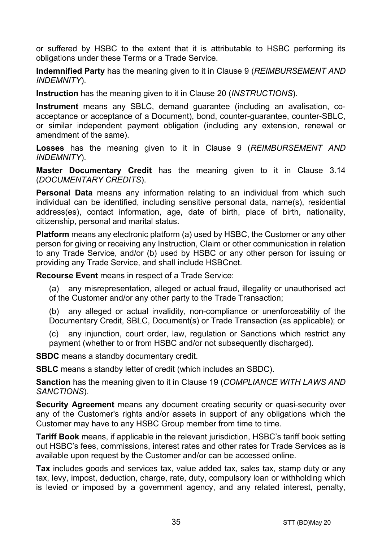or suffered by HSBC to the extent that it is attributable to HSBC performing its obligations under these Terms or a Trade Service.

**Indemnified Party** has the meaning given to it in Claus[e 9](#page-13-0) (*[REIMBURSEMENT AND](#page-13-0)  [INDEMNITY](#page-13-0)*).

**Instruction** has the meaning given to it in Clause [20](#page-24-0) (*[INSTRUCTIONS](#page-24-0)*).

**Instrument** means any SBLC, demand guarantee (including an avalisation, coacceptance or acceptance of a Document), bond, counter-guarantee, counter-SBLC, or similar independent payment obligation (including any extension, renewal or amendment of the same).

**Losses** has the meaning given to it in Clause [9](#page-13-0) (*[REIMBURSEMENT AND](#page-13-0)  [INDEMNITY](#page-13-0)*).

**Master Documentary Credit** has the meaning given to it in Clause [3.14](#page-5-0) (*[DOCUMENTARY CREDITS](#page-3-0)*).

**Personal Data** means any information relating to an individual from which such individual can be identified, including sensitive personal data, name(s), residential address(es), contact information, age, date of birth, place of birth, nationality, citizenship, personal and marital status.

**Platform** means any electronic platform (a) used by HSBC, the Customer or any other person for giving or receiving any Instruction, Claim or other communication in relation to any Trade Service, and/or (b) used by HSBC or any other person for issuing or providing any Trade Service, and shall include HSBCnet.

**Recourse Event** means in respect of a Trade Service:

(a) any misrepresentation, alleged or actual fraud, illegality or unauthorised act of the Customer and/or any other party to the Trade Transaction;

(b) any alleged or actual invalidity, non-compliance or unenforceability of the Documentary Credit, SBLC, Document(s) or Trade Transaction (as applicable); or

(c) any injunction, court order, law, regulation or Sanctions which restrict any payment (whether to or from HSBC and/or not subsequently discharged).

**SBDC** means a standby documentary credit.

**SBLC** means a standby letter of credit (which includes an SBDC).

**Sanction** has the meaning given to it in Clause [19](#page-22-0) (*[COMPLIANCE WITH LAWS AND](#page-22-0)  [SANCTIONS](#page-22-0)*).

**Security Agreement** means any document creating security or quasi-security over any of the Customer's rights and/or assets in support of any obligations which the Customer may have to any HSBC Group member from time to time.

**Tariff Book** means, if applicable in the relevant jurisdiction, HSBC's tariff book setting out HSBC's fees, commissions, interest rates and other rates for Trade Services as is available upon request by the Customer and/or can be accessed online.

**Tax** includes goods and services tax, value added tax, sales tax, stamp duty or any tax, levy, impost, deduction, charge, rate, duty, compulsory loan or withholding which is levied or imposed by a government agency, and any related interest, penalty,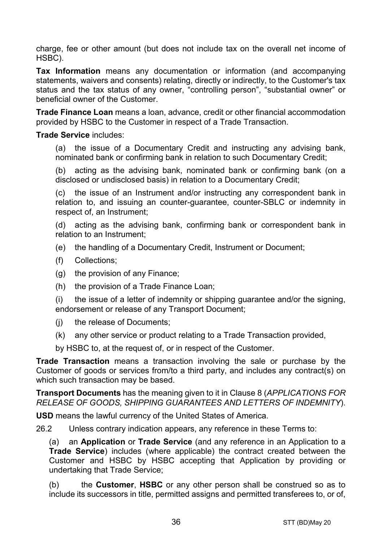charge, fee or other amount (but does not include tax on the overall net income of HSBC).

**Tax Information** means any documentation or information (and accompanying statements, waivers and consents) relating, directly or indirectly, to the Customer's tax status and the tax status of any owner, "controlling person", "substantial owner" or beneficial owner of the Customer.

**Trade Finance Loan** means a loan, advance, credit or other financial accommodation provided by HSBC to the Customer in respect of a Trade Transaction.

#### **Trade Service** includes:

(a) the issue of a Documentary Credit and instructing any advising bank, nominated bank or confirming bank in relation to such Documentary Credit;

(b) acting as the advising bank, nominated bank or confirming bank (on a disclosed or undisclosed basis) in relation to a Documentary Credit;

(c) the issue of an Instrument and/or instructing any correspondent bank in relation to, and issuing an counter-guarantee, counter-SBLC or indemnity in respect of, an Instrument;

(d) acting as the advising bank, confirming bank or correspondent bank in relation to an Instrument;

- (e) the handling of a Documentary Credit, Instrument or Document;
- (f) Collections;
- (g) the provision of any Finance;
- (h) the provision of a Trade Finance Loan;

(i) the issue of a letter of indemnity or shipping guarantee and/or the signing, endorsement or release of any Transport Document;

- (j) the release of Documents;
- (k) any other service or product relating to a Trade Transaction provided,

by HSBC to, at the request of, or in respect of the Customer.

**Trade Transaction** means a transaction involving the sale or purchase by the Customer of goods or services from/to a third party, and includes any contract(s) on which such transaction may be based.

**Transport Documents** has the meaning given to it in Clause [8](#page-12-0) (*[APPLICATIONS FOR](#page-12-0)  [RELEASE OF GOODS, SHIPPING GUARANTEES AND](#page-12-0) LETTERS OF INDEMNITY*).

**USD** means the lawful currency of the United States of America.

26.2 Unless contrary indication appears, any reference in these Terms to:

(a) an **Application** or **Trade Service** (and any reference in an Application to a **Trade Service**) includes (where applicable) the contract created between the Customer and HSBC by HSBC accepting that Application by providing or undertaking that Trade Service;

(b) the **Customer**, **HSBC** or any other person shall be construed so as to include its successors in title, permitted assigns and permitted transferees to, or of,